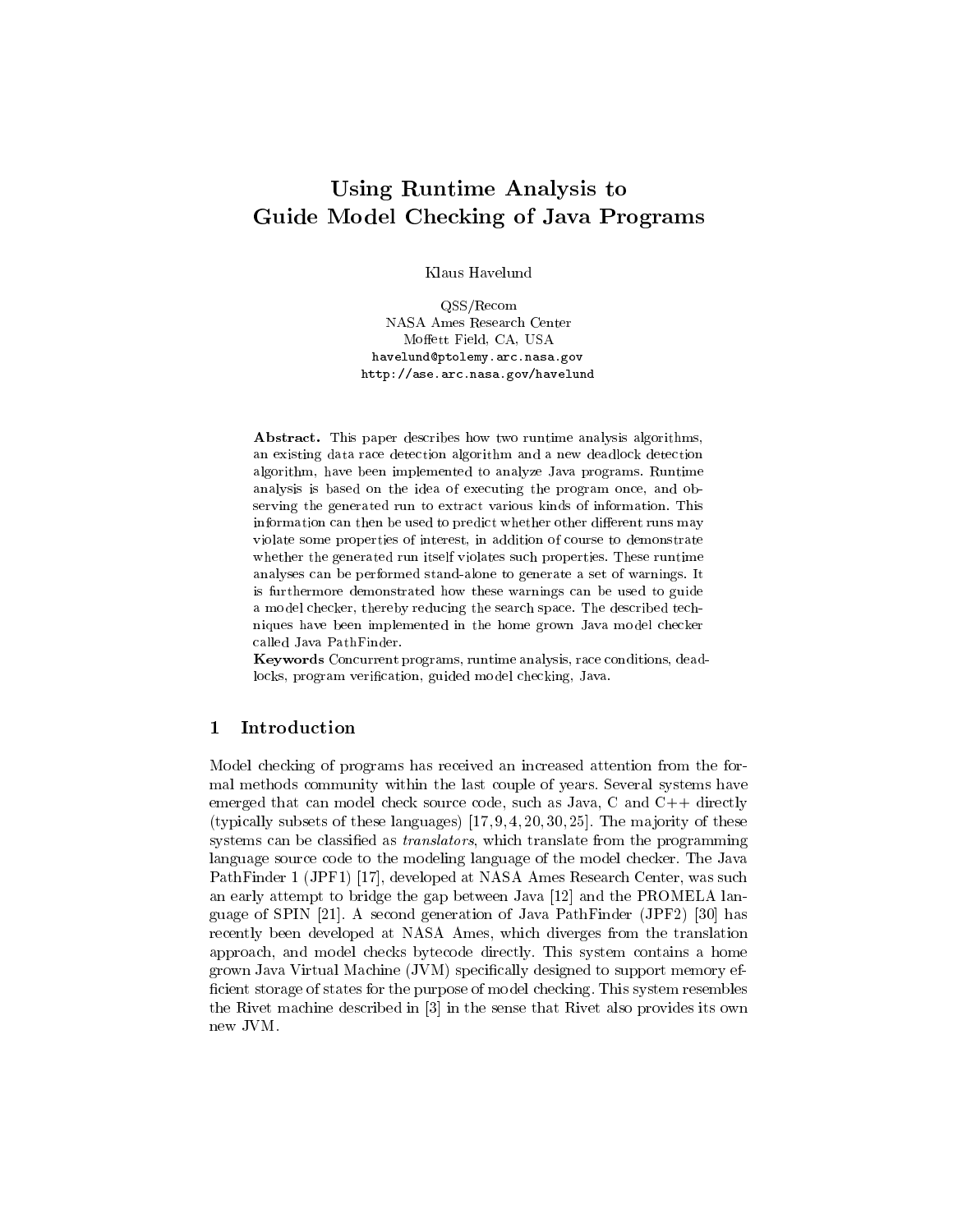# Using Runtime Analysis to Guide Model Checking of Java Programs

Klaus Havelund

QSS/Recom NASA Ames Research Center Moffett Field, CA, USA havelund@ptolemy.arc.nasa.govhttp://ase.arc.nasa.gov/havelund

Abstract. This paper describes how two runtime analysis algorithms, an existing data race detection algorithm and a new deadlock detection algorithm, have been implemented to analyze Java programs. Runtime analysis is based on the idea of executing the program once, and observing the generated run to extract various kinds of information. This information can then be used to predict whether other different runs may violate some properties of interest, in addition of course to demonstrate whether the generated run itself violates such properties. These runtime analyses can be performed stand-alone to generate a set of warnings. It is furthermore demonstrated how these warnings can be used to guide a model checker, thereby reducing the search space. The described techniques have been implemented in the home grown Java model checker called Java PathFinder.

Keywords Concurrent programs, runtime analysis, race conditions, deadlocks, program verification, guided model checking, Java.

# 1 Introduction

Model checking of programs has received an increased attention from the formal methods community within the last couple of years. Several systems have emerged that can model check source code, such as Java, C and C++ directly (typically subsets of these languages)  $[17, 9, 4, 20, 30, 25]$ . The majority of these systems can be classified as *translators*, which translate from the programming language source code to the modeling language of the model checker. The Java PathFinder 1 (JPF1) [17], developed at NASA Ames Research Center, was such an early attempt to bridge the gap between Java [12] and the PROMELA language of SPIN [21]. A second generation of Java PathFinder (JPF2) [30] has recently been developed at NASA Ames, which diverges from the translation approach, and model checks bytecode directly. This system contains a home grown Java Virtual Machine (JVM) specically designed to support memory ef ficient storage of states for the purpose of model checking. This system resembles the Rivet machine described in [3] in the sense that Rivet also provides its own new JVM.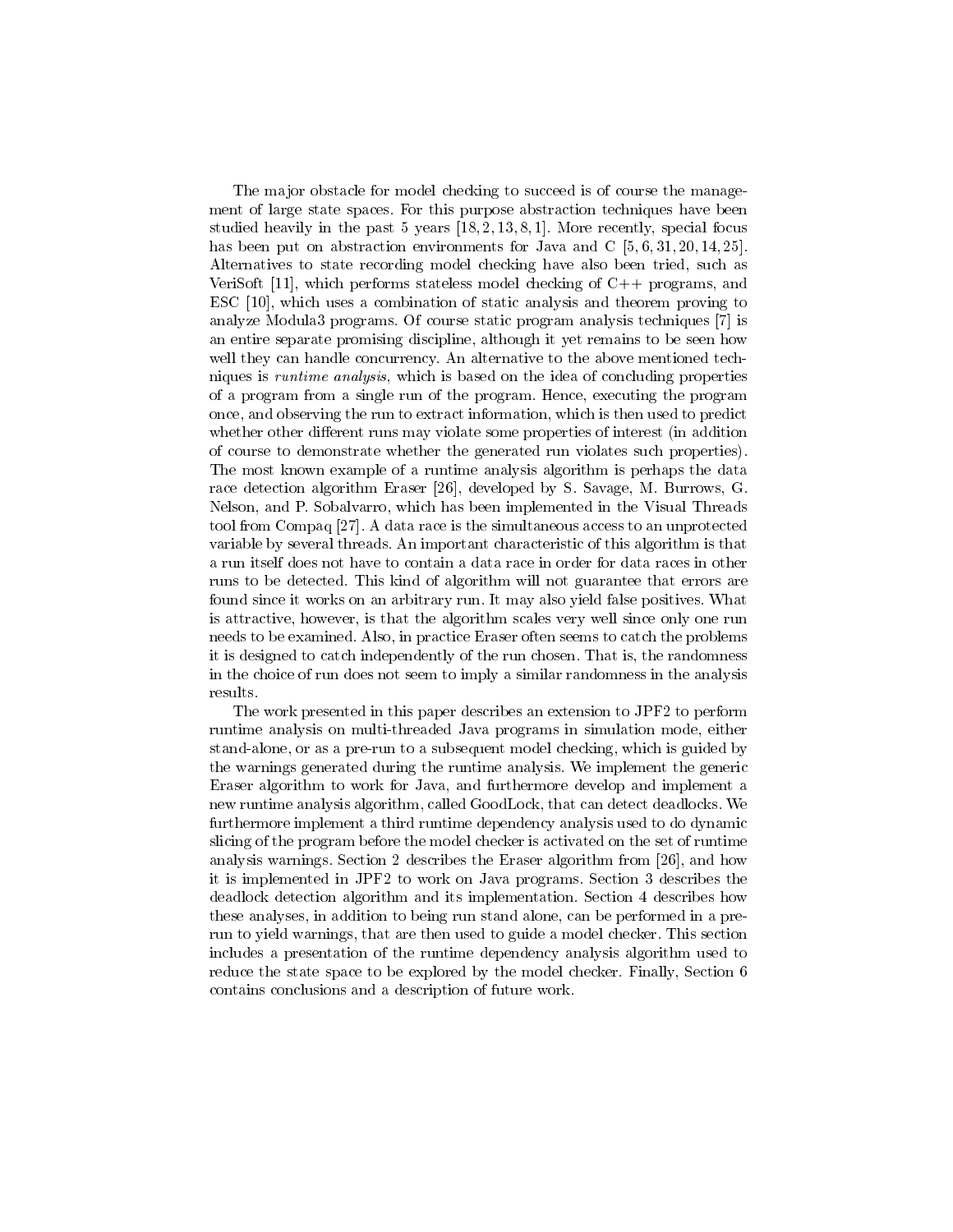The major obstacle for model checking to succeed is of course the management of large state spaces. For this purpose abstraction techniques have been studied heavily in the past 5 years  $[18, 2, 13, 8, 1]$ . More recently, special focus has been put on abstraction environments for Java and C  $[5, 6, 31, 20, 14, 25]$ . Alternatives to state recording model checking have also been tried, such as VeriSoft [11], which performs stateless model checking of C++ programs, and ESC [10], which uses a combination of static analysis and theorem proving to analyze Modula3 programs. Of course static program analysis techniques [7] is an entire separate promising discipline, although it yet remains to be seen how well they can handle concurrency. An alternative to the above mentioned techniques is runtime analysis, which is based on the idea of concluding properties of a program from a single run of the program. Hence, executing the program once, and observing the run to extract information, which is then used to predict whether other different runs may violate some properties of interest (in addition of course to demonstrate whether the generated run violates such properties). The most known example of a runtime analysis algorithm is perhaps the data race detection algorithm Eraser [26], developed by S. Savage, M. Burrows, G. Nelson, and P. Sobalvarro, which has been implemented in the Visual Threads tool from Compaq [27]. A data race is the simultaneous access to an unprotected variable by several threads. An important characteristic of this algorithm is that a run itself does not have to contain a data race in order for data races in other runs to be detected. This kind of algorithm will not guarantee that errors are found since it works on an arbitrary run. It may also yield false positives. What is attractive, however, is that the algorithm scales very well since only one run needs to be examined. Also, in practice Eraser often seems to catch the problems it is designed to catch independently of the run chosen. That is, the randomness in the choice of run does not seem to imply a similar randomness in the analysis results.

The work presented in this paper describes an extension to JPF2 to perform runtime analysis on multi-threaded Java programs in simulation mode, either stand-alone, or as a pre-run to a subsequent model checking, which is guided by the warnings generated during the runtime analysis. We implement the generic Eraser algorithm to work for Java, and furthermore develop and implement a new runtime analysis algorithm, called GoodLock, that can detect deadlocks. We furthermore implement a third runtime dependency analysis used to do dynamic slicing of the program before the model checker is activated on the set of runtime analysis warnings. Section 2 describes the Eraser algorithm from [26], and how it is implemented in JPF2 to work on Java programs. Section 3 describes the deadlock detection algorithm and its implementation. Section 4 describes how these analyses, in addition to being run stand alone, can be performed in a prerun to yield warnings, that are then used to guide a model checker. This section includes a presentation of the runtime dependency analysis algorithm used to reduce the state space to be explored by the model checker. Finally, Section 6 contains conclusions and a description of future work.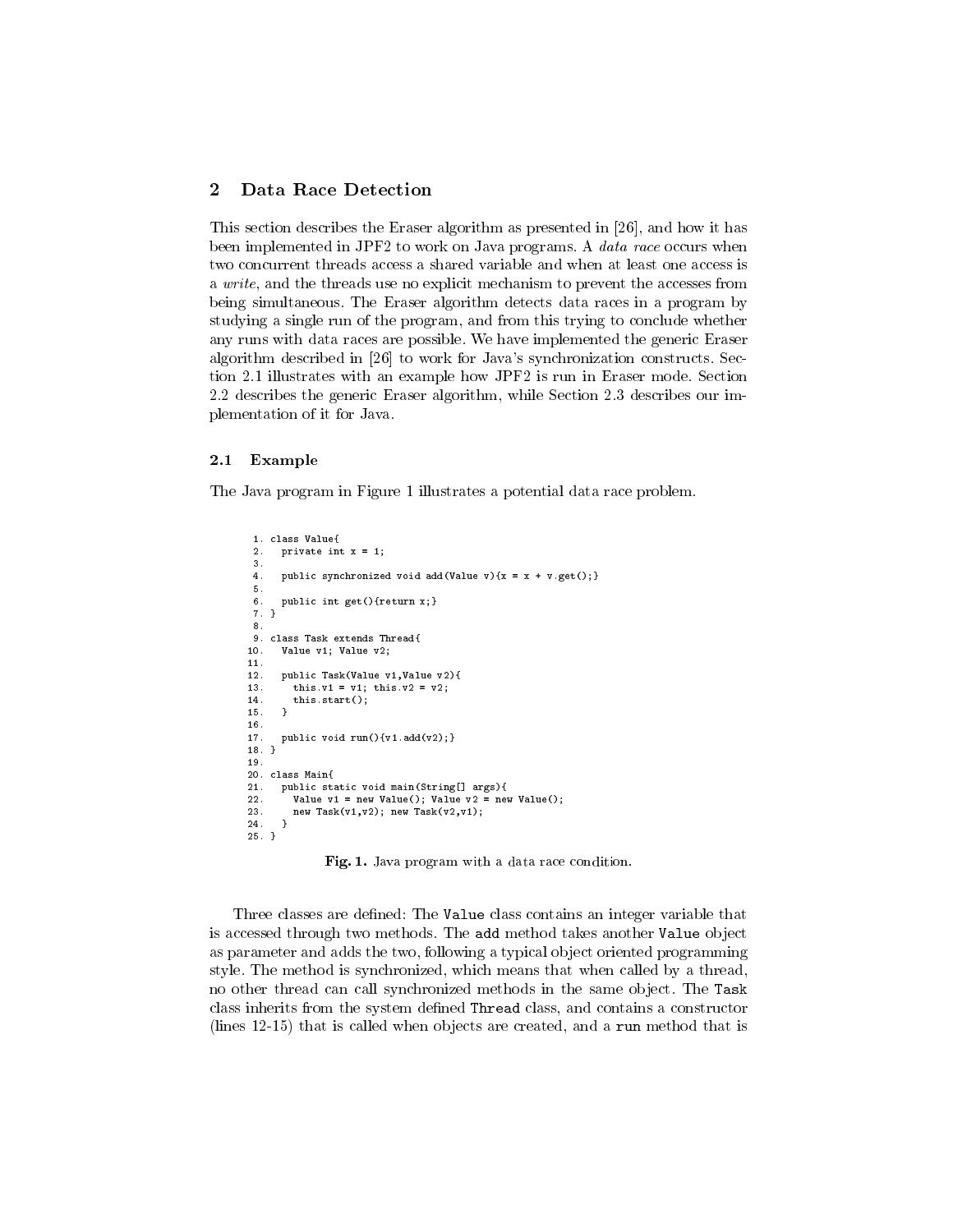# 2 Data Race Detection

This section describes the Eraser algorithm as presented in [26], and how it has been implemented in JPF2 to work on Java programs. A data race occurs when two concurrent threads access a shared variable and when at least one access is a write, and the threads use no explicit mechanism to prevent the accesses from being simultaneous. The Eraser algorithm detects data races in a program by studying a single run of the program, and from this trying to conclude whether any runs with data races are possible. We have implemented the generic Eraser algorithm described in [26] to work for Java's synchronization constructs. Section 2.1 illustrates with an example how JPF2 is run in Eraser mode. Section 2.2 describes the generic Eraser algorithm, while Section 2.3 describes our implementation of it for Java.

#### 2.1 Example

The Java program in Figure 1 illustrates a potential data race problem.

```
1. class Value{
 2. private int x = 1;
 4. public synchronized void add(Value v)\{x = x + v.\text{get}();public int get(){return x;}
 6.
 7. }
 8.
 . .<br>9. class Task extends Thread{
10. Value v1; Value v2;
11.12.12. public Task(Value v1,Value v2){
13. this.v1 = v1; this.v2 = v2;
14this.start():
14. this.start();
     - 7
15. }
16
17.public void run(){v1.add(v2);}
18. }
19.20. class Main{
21. public static void main(String[] args){
22. Value v1 = new Value(); Value v2 = new Value();<br>23. new Task(v1,v2); new Task(v2,v1);
22.new Task(v1,v2); new Task(v2,v1);
24. }
25. }
```
Fig. 1. Java program with a data race condition.

Three classes are defined: The Value class contains an integer variable that is accessed through two methods. The add method takes another Value ob ject as parameter and adds the two, following a typical ob ject oriented programming style. The method is synchronized, which means that when called by a thread, no other thread can call synchronized methods in the same object. The Task class inherits from the system defined Thread class, and contains a constructor (lines 12-15) that is called when objects are created, and a run method that is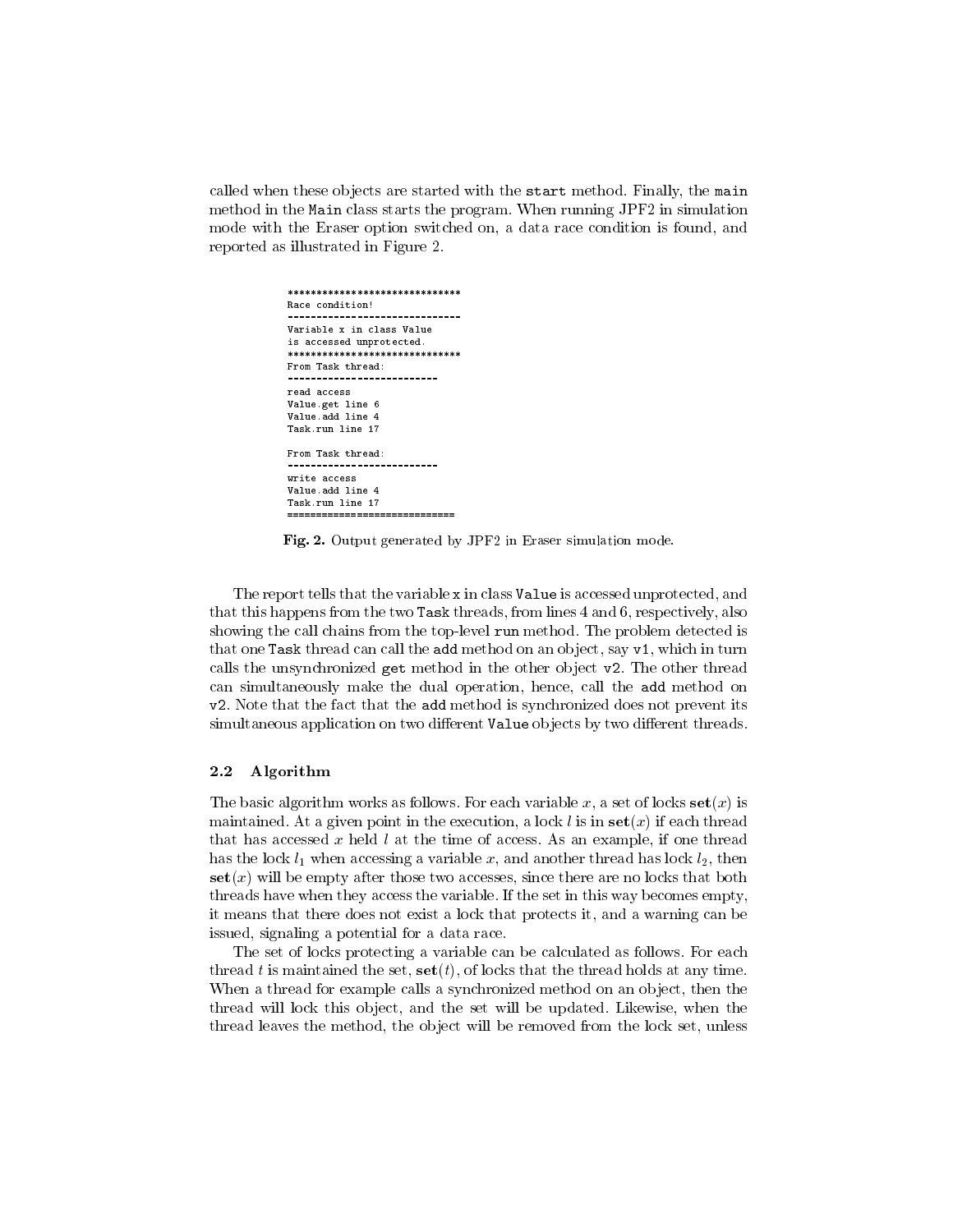called when these objects are started with the start method. Finally, the main method in the Main class starts the program. When running JPF2 in simulation mode with the Eraser option switched on, a data race condition is found, and reported as illustrated in Figure 2.

> \*\*\*\*\*\*\*\*\*\*\*\*\*\*\*\*\*\*\*\*\*\*\*\*\*\*\*\*\*\* Race condition! ------------------Variable x in class Value is accessed unprotected. is accessed under the control of the control of the control of the control of the control of the control of th \*\*\*\*\*\*\*\*\*\*\*\*\*\*\*\*\*\*\*\*\*\*\*\*\*\*\*\*\*\* From Task thread: -------------------------read access Value.get line 6 Value add line 4 Task.run line 17 From Task thread: --------------------------write access Value.add line 4 Task.run line 17 ----------------

Fig. 2. Output generated by JPF2 in Eraser simulation mode.

The report tells that the variable x in class Value is accessed unprotected, and that this happens from the two Task threads, from lines 4 and 6, respectively, also showing the call chains from the top-level run method. The problem detected is that one Task thread can call the add method on an object, say v1, which in turn calls the unsynchronized get method in the other object v2. The other thread can simultaneously make the dual operation, hence, call the add method on v2. Note that the fact that the add method is synchronized does not prevent its simultaneous application on two different Value objects by two different threads.

### 2.2 Algorithm

The basic algorithm works as follows. For each variable x, a set of locks  $set(x)$  is maintained. At a given point in the execution, a lock l is in  $\text{set}(x)$  if each thread that has accessed x held  $l$  at the time of access. As an example, if one thread has the local l1 when accessing a variable  $x_i$  and another thread has lock line  $z_i$  , then  $\bar{z}_i$  $\textbf{set}(x)$  will be empty after those two accesses, since there are no locks that both threads have when they access the variable. If the set in this way becomes empty, it means that there does not exist a lock that protects it, and a warning can be issued, signaling a potential for a data race.

The set of locks protecting a variable can be calculated as follows. For each thread t is maintained the set,  $\text{set}(t)$ , of locks that the thread holds at any time. When a thread for example calls a synchronized method on an object, then the thread will lock this ob ject, and the set will be updated. Likewise, when the thread leaves the method, the object will be removed from the lock set, unless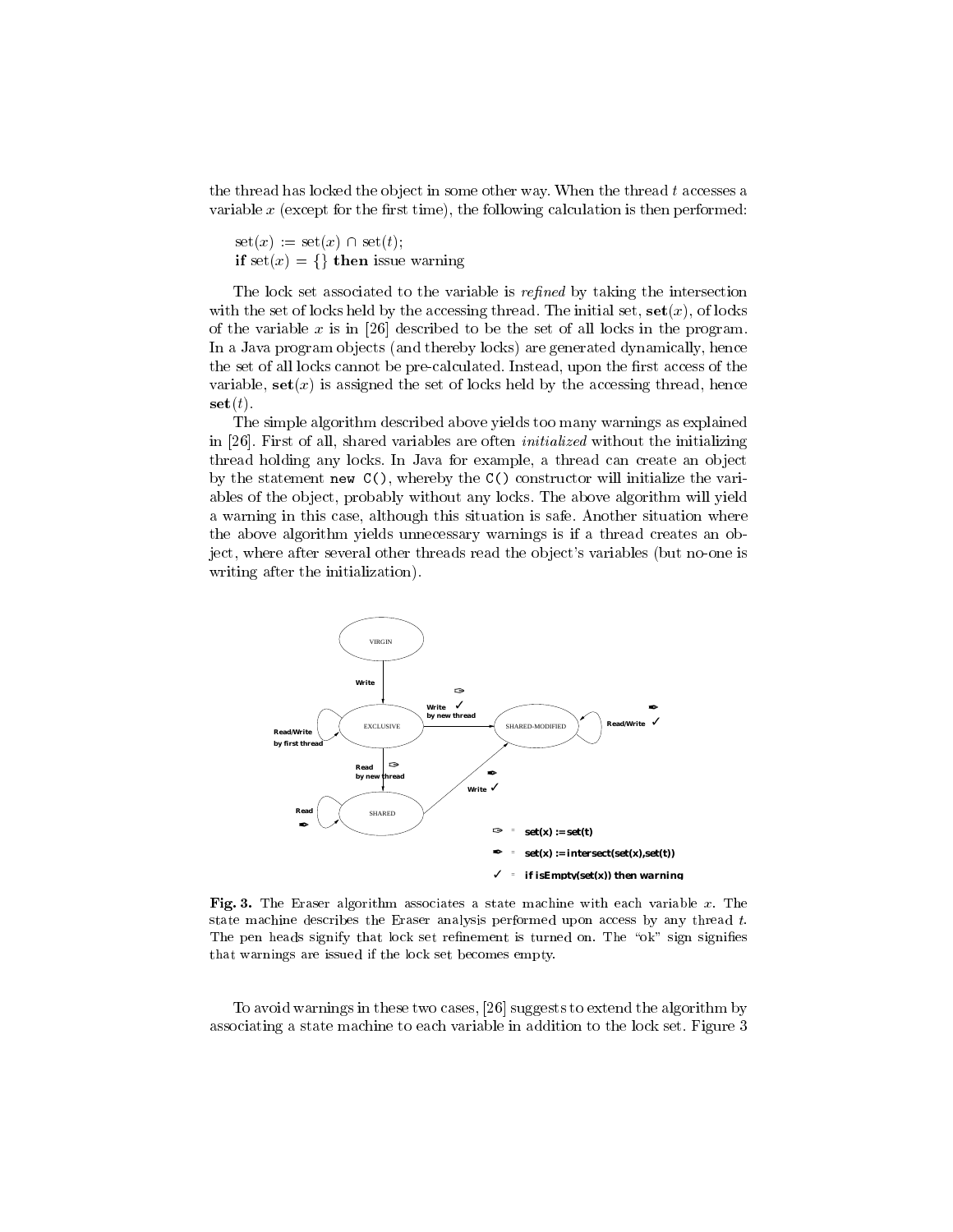the thread has locked the object in some other way. When the thread t accesses a variable  $x$  (except for the first time), the following calculation is then performed:

 $\operatorname{set}(x) := \operatorname{set}(x) \cap \operatorname{set}(t);$ if set(x) = {} then issue warning

The lock set associated to the variable is *refined* by taking the intersection with the set of locks held by the accessing thread. The initial set,  $set(x)$ , of locks of the variable x is in [26] described to be the set of all locks in the program. In a Java program ob jects (and thereby locks) are generated dynamically, hence the set of all locks cannot be pre-calculated. Instead, upon the first access of the variable,  $\text{set}(x)$  is assigned the set of locks held by the accessing thread, hence  $\mathbf{set}(t)$ .

The simple algorithm described above yields too many warnings as explained in [26]. First of all, shared variables are often initialized without the initializing thread holding any locks. In Java for example, a thread can create an ob ject by the statement new  $C()$ , whereby the  $C()$  constructor will initialize the variables of the ob ject, probably without any locks. The above algorithm will yield a warning in this case, although this situation is safe. Another situation where the above algorithm yields unnecessary warnings is if a thread creates an object, where after several other threads read the object's variables (but no-one is writing after the initialization).



Fig. 3. The Eraser algorithm associates a state machine with each variable  $x$ . The state machine describes the Eraser analysis performed upon access by any thread  $t$ . The pen heads signify that lock set refinement is turned on. The "ok" sign signifies that warnings are issued if the lock set becomes empty.

To avoid warnings in these two cases, [26] suggests to extend the algorithm by associating a state machine to each variable in addition to the lock set. Figure 3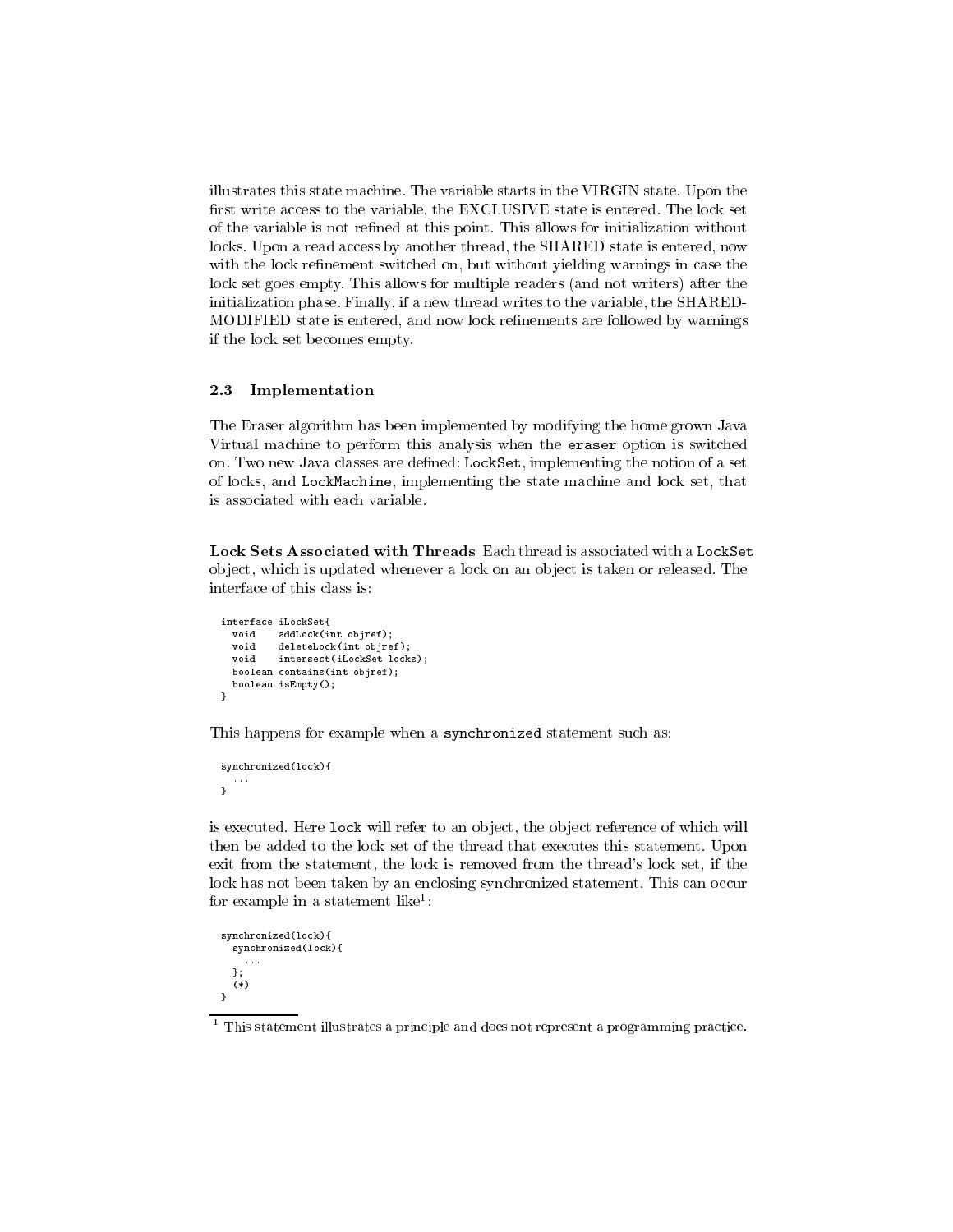illustrates this state machine. The variable starts in the VIRGIN state. Upon the first write access to the variable, the EXCLUSIVE state is entered. The lock set of the variable is not refined at this point. This allows for initialization without locks. Upon a read access by another thread, the SHARED state is entered, now with the lock refinement switched on, but without yielding warnings in case the lock set goes empty. This allows for multiple readers (and not writers) after the initialization phase. Finally, if a new thread writes to the variable, the SHARED-MODIFIED state is entered, and now lock refinements are followed by warnings if the lock set becomes empty.

### 2.3 Implementation

The Eraser algorithm has been implemented by modifying the home grown Java Virtual machine to perform this analysis when the eraser option is switched on. Two new Java classes are dened: LockSet, implementing the notion of a set of locks, and LockMachine, implementing the state machine and lock set, that is associated with each variable.

Lock Sets Associated with Threads Each thread is associated with a LockSet object, which is updated whenever a lock on an object is taken or released. The interface of this class is:

```
interface iLockSet{
 interface in the control of the control of the control of the control of the control of the control of the control of the control of the control of the control of the control of the control of the control of the control of
    void addLock(int objref);
    void
                   deleteLock(int objref);
    void
                   intersect(iLockSet locks);
    boolean contains(int objref);
    boolean isEmpty();
D,
 }
```
This happens for example when a synchronized statement such as:

```
synchronized(lock){
  ...
}
```
is executed. Here lock will refer to an object, the object reference of which will then be added to the lock set of the thread that executes this statement. Upon exit from the statement, the lock is removed from the thread's lock set, if the lock has not been taken by an enclosing synchronized statement. This can occur for example in a statement like :

```
synchronized(lock){
 synchronized(lock){
   ...
 };
 (*)
}
```
 $^\circ$  This statement illustrates a principle and does not represent a programming practice.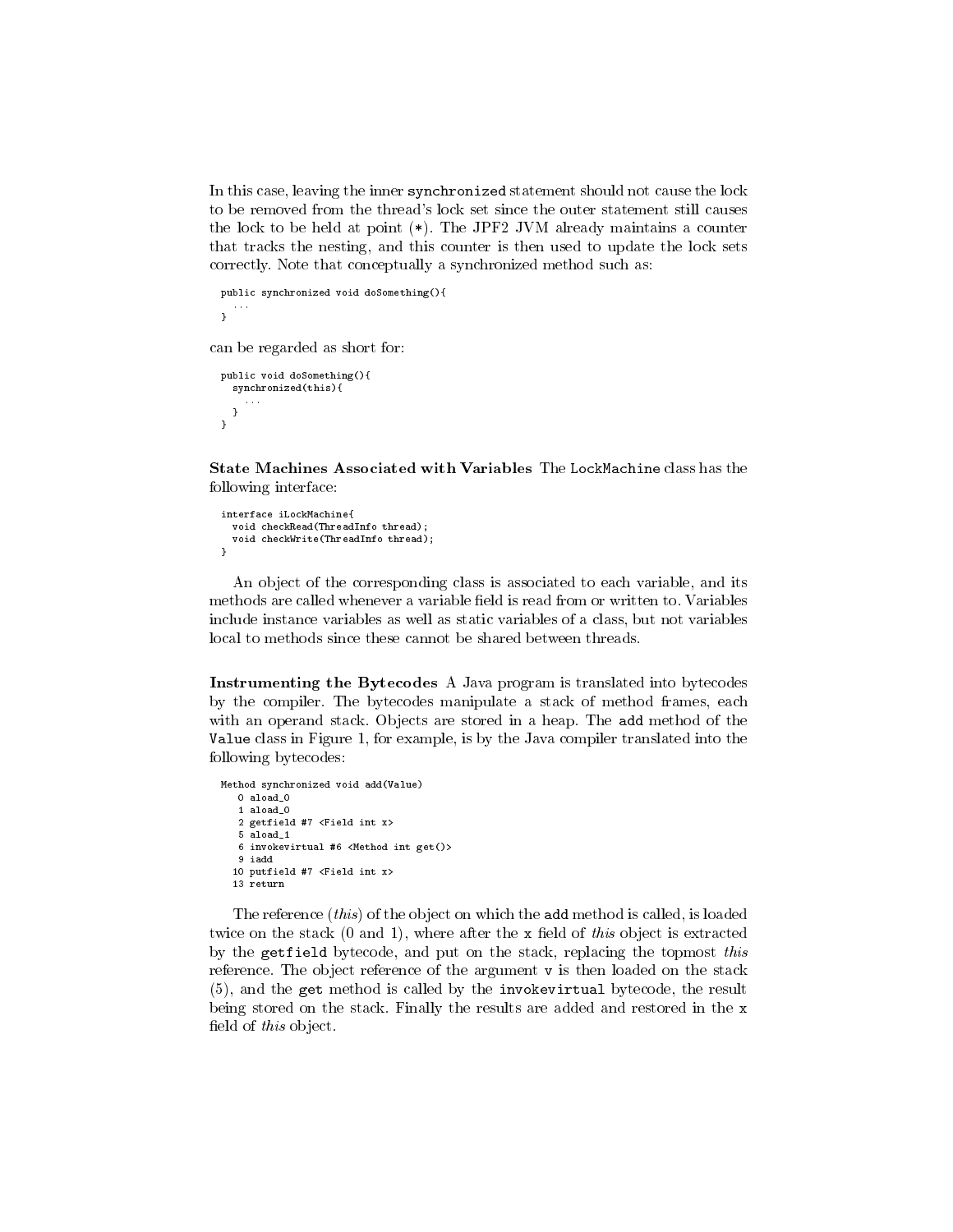In this case, leaving the inner synchronized statement should not cause the lock to be removed from the thread's lock set since the outer statement still causes the lock to be held at point  $(*)$ . The JPF2 JVM already maintains a counter that tracks the nesting, and this counter is then used to update the lock sets correctly. Note that conceptually a synchronized method such as:

```
public synchronized void doSomething(){
   ...
\mathcal{L}
```
can be regarded as short for:

```
public void doSomething(){
  synchronized(this){
  }
\mathbf{r}}
```
}

State Machines Associated with Variables The LockMachine class has the following interface:

```
interface iLockMachinef
interface interface in the control \mathbf{A} interface interface interface in the control of \mathbf{A}void checkRead(ThreadInfo thread):
    void check \mathcal{N} and \mathcal{N} and \mathcal{N} thread \mathcal{N} thread \mathcal{N}void checkWrite(ThreadInfo thread);
n,
}
```
An object of the corresponding class is associated to each variable, and its methods are called whenever a variable field is read from or written to. Variables include instance variables as well as static variables of a class, but not variables include instance variables as well as static variables of a class, but not variables local to methods since these cannot be shared between threads.

Instrumenting the Bytecodes A Java program is translated into bytecodes by the compiler. The bytecodes manipulate a stack of method frames, each with an operand stack. Objects are stored in a heap. The add method of the Value class in Figure 1, for example, is by the Java compiler translated into the following bytecodes:

```
Method synchronized void add(Value)
  0 aload_0
  1 aload_0
  2 getfield #7 <Field int x>
  5 aload 1
   - ------<br>6 invokevirtual #6 <Method int get()>
  10 putfield #7 <Field int x>
  13 return
```
The reference (this) of the object on which the add method is called, is loaded twice on the stack  $(0 \text{ and } 1)$ , where after the x field of this object is extracted by the getfield bytecode, and put on the stack, replacing the topmost this reference. The object reference of the argument  $\nu$  is then loaded on the stack (5), and the get method iscalled by the invokevirtual bytecode, the result being stored on the stack. Finally the results are added and restored in the x field of *this* object.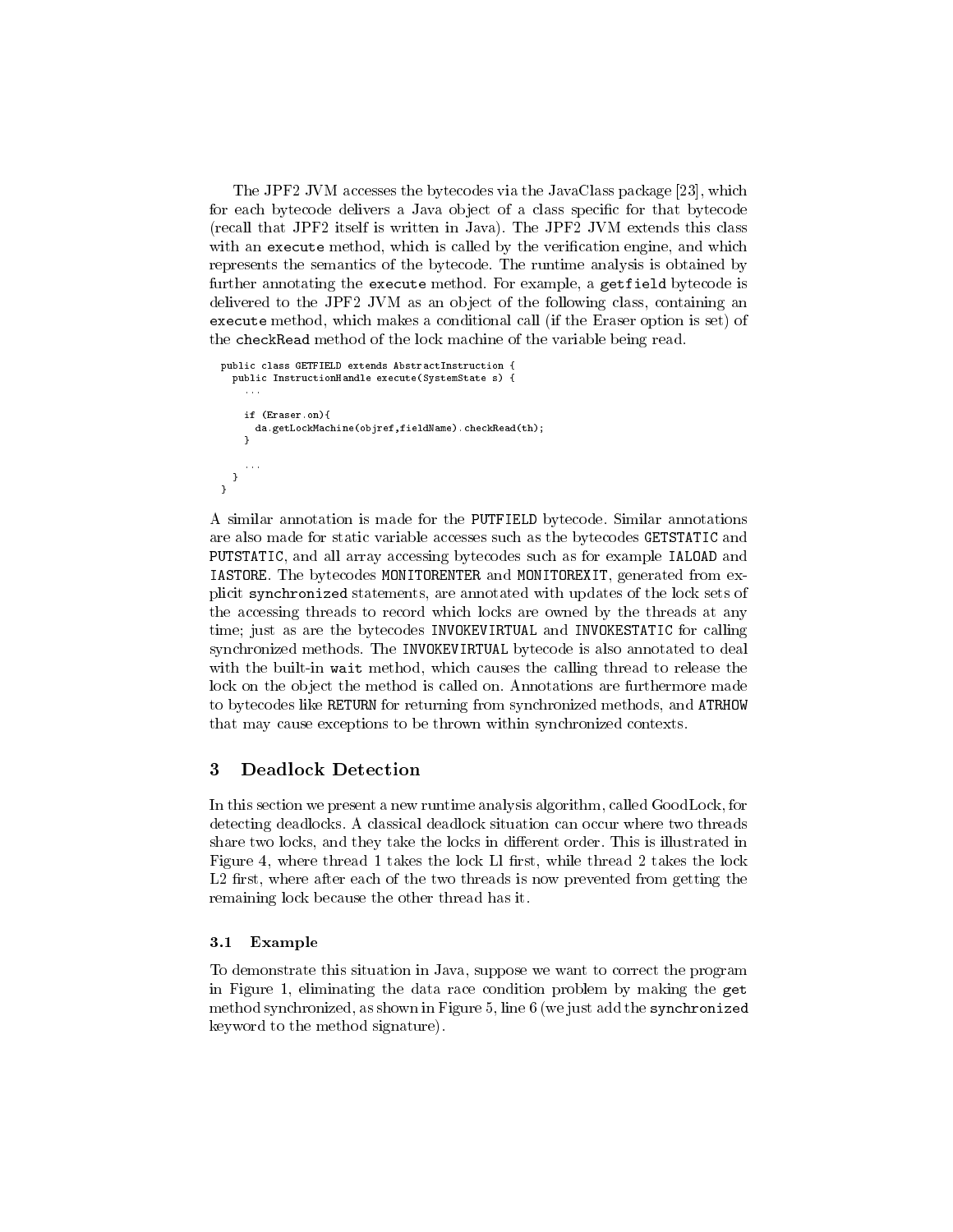The JPF2 JVM accesses the bytecodes via the JavaClass package [23], which for each bytecode delivers a Java object of a class specific for that bytecode (recall that JPF2 itself is written in Java). The JPF2 JVM extends this class with an execute method, which is called by the verification engine, and which represents the semantics of the bytecode. The runtime analysis is obtained by further annotating the execute method. For example, a getfield bytecode is delivered to the JPF2 JVM as an ob ject of the following class, containing an execute method, which makes a conditional call (if the Eraser option is set) of the checkRead method of the lock machine of the variable being read.

```
public class GETFIELD extends AbstractInstruction {
 public InstructionHandle execute(SystemState s) {
   if (Eraser.on){
     da.getLockMachine(objref,fieldName).checkRead(th);
    }
 }
}
```
A similar annotation is made for the PUTFIELD bytecode. Similar annotations are also made for static variable accesses such as the bytecodes GETSTATIC and PUTSTATIC, and all array accessing bytecodes such as for example IALOAD and IASTORE. The bytecodes MONITORENTER and MONITOREXIT, generated from explicit synchronized statements, are annotated with updates of the lock sets of the accessing threads to record which locks are owned by the threads at any time; just as are the bytecodes INVOKEVIRTUAL and INVOKESTATIC for calling synchronized methods. The INVOKEVIRTUAL bytecode is also annotated to deal with the built-in wait method, which causes the calling thread to release the lock on the object the method is called on. Annotations are furthermore made to bytecodes like RETURN for returning from synchronized methods, and ATRHOW that may cause exceptions to be thrown within synchronized contexts.

# 3 Deadlock Detection

In this section we present a new runtime analysis algorithm, called GoodLock, for detecting deadlocks. A classical deadlock situation can occur where two threads share two locks, and they take the locks in different order. This is illustrated in Figure 4, where thread 1 takes the lock Ll first, while thread 2 takes the lock  $L2$  first, where after each of the two threads is now prevented from getting the remaining lock because the other thread has it.

### 3.1 Example

To demonstrate this situation in Java, suppose we want to correct the program in Figure 1, eliminating the data race condition problem by making the get method synchronized, as shown in Figure 5, line 6 (we just add the synchronized keyword to the method signature).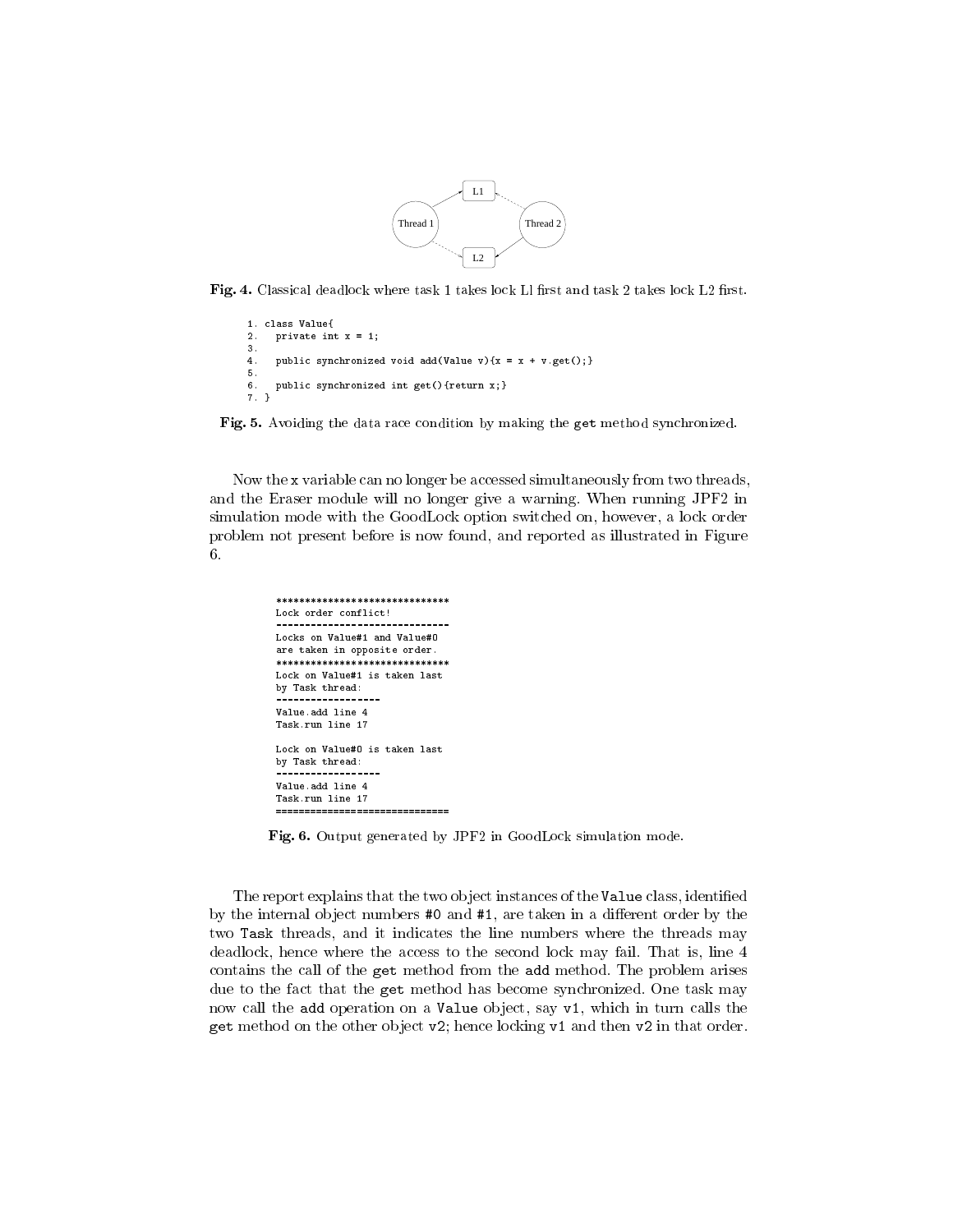

Fig. 4. Classical deadlock where task 1 takes lock Ll first and task 2 takes lock L2 first.

```
1. class Value{
2. private int x = 1;
3.
4. public synchronized void add(Value v) {x = x + v.get();}
6. public synchronized int get(){return x;}
7. }
```
Fig. 5. Avoiding the data race condition by making the get method synchronized.

Now the x variable can no longer be accessed simultaneously from two threads, and the Eraser module will no longer give a warning. When running JPF2 in simulation mode with the GoodLock option switched on, however, a lock order problem not present before is now found, and reported as illustrated in Figure 6.

```
******************************
Lock order conflict!
  ....................
Locks on Value#1 and Value#O
are taken in opposite order.
Lock on Value#1 is taken last
by Task thread:
Value.add line 4
Task.run line 17
Lock on Value#0 is taken last
by Task thread:
Value add line 4
Task.run line 17
```
Fig. 6. Output generated by JPF2 in GoodLock simulation mode.

The report explains that the two object instances of the Value class, identified by the internal object numbers  $#0$  and  $#1$ , are taken in a different order by the two Task threads, and it indicates the line numbers where the threads may deadlock, hence where the access to the second lock may fail. That is, line 4 contains the call of the get method from the add method. The problem arises due to the fact that the get method has become synchronized. One task may now call the add operation on a Value object, say v1, which in turn calls the get method on the other object  $v2$ ; hence locking  $v1$  and then  $v2$  in that order.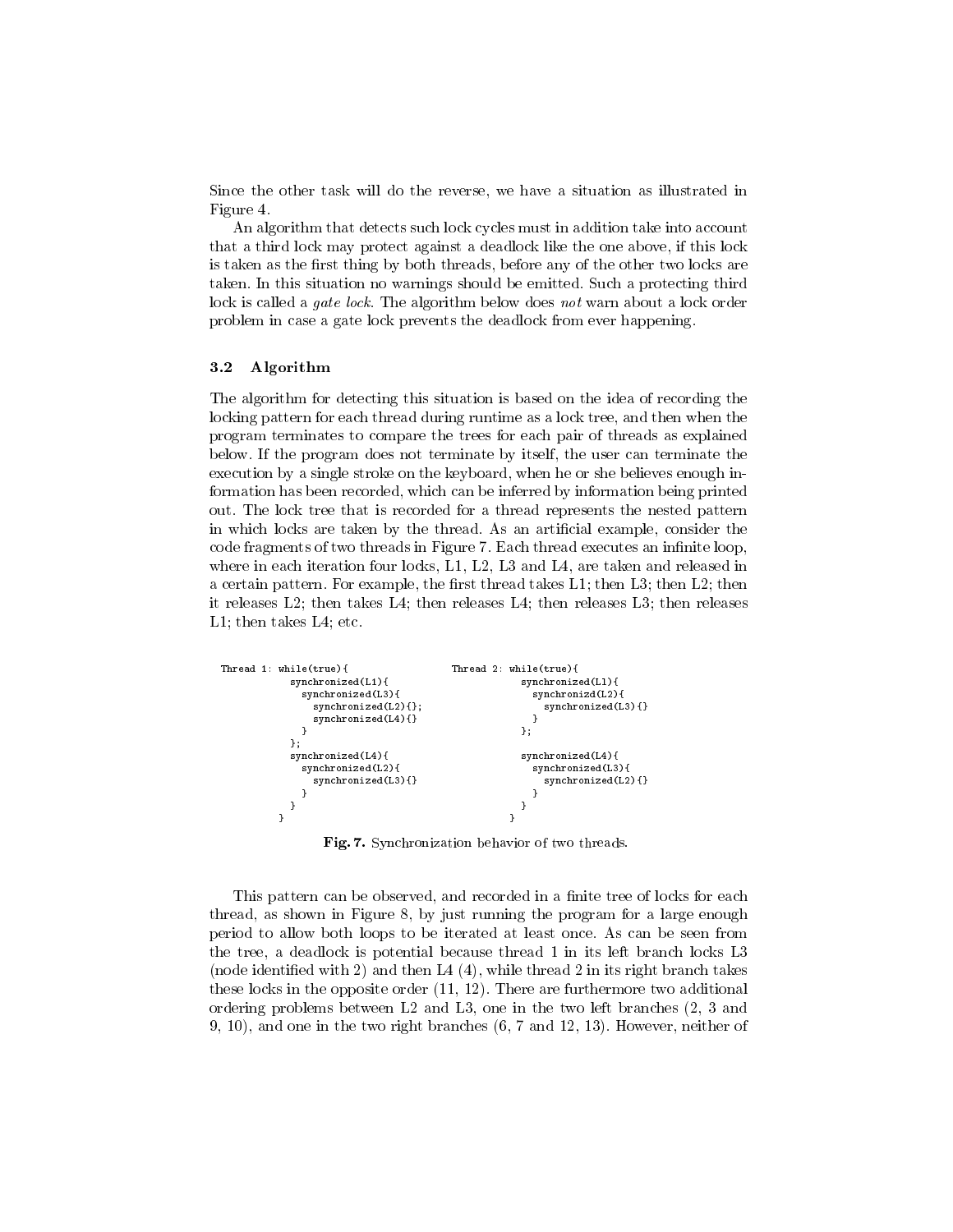Since the other task will do the reverse, we have a situation as illustrated in Figure 4.

An algorithm that detects such lock cycles must in addition take into account that a third lock may protect against a deadlock like the one above, if this lock is taken as the first thing by both threads, before any of the other two locks are taken. In this situation no warnings should be emitted. Such a protecting third lock is called a *gate lock*. The algorithm below does not warn about a lock order problem in case a gate lock prevents the deadlock from ever happening.

#### 3.2 Algorithm

The algorithm for detecting this situation is based on the idea of recording the locking pattern for each thread during runtime as a lock tree, and then when the program terminates to compare the trees for each pair of threads as explained below. If the program does not terminate by itself, the user can terminate the execution by a single stroke on the keyboard, when he or she believes enough information has been recorded, which can be inferred by information being printed out. The lock tree that is recorded for a thread represents the nested pattern in which locks are taken by the thread. As an artificial example, consider the code fragments of two threads in Figure 7. Each thread executes an infinite loop, where in each iteration four locks, L1, L2, L3 and L4, are taken and released in a certain pattern. For example, the first thread takes  $L1$ ; then  $L3$ ; then  $L2$ ; then it releases L2; then takes L4; then releases L4; then releases L3; then releases L1; then takes L4; etc.



Fig. 7. Synchronization behavior of two threads.

This pattern can be observed, and recorded in a finite tree of locks for each thread, as shown in Figure 8, by just running the program for a large enough period to allow both loops to be iterated at least once. As can be seen from the tree, a deadlock is potential because thread 1 in its left branch locks L3 (node identified with 2) and then L4  $(4)$ , while thread 2 in its right branch takes these locks in the opposite order (11, 12). There are furthermore two additional ordering problems between L2 and L3, one in the two left branches (2, 3 and 9, 10), and one in the two right branches (6, 7 and 12, 13). However, neither of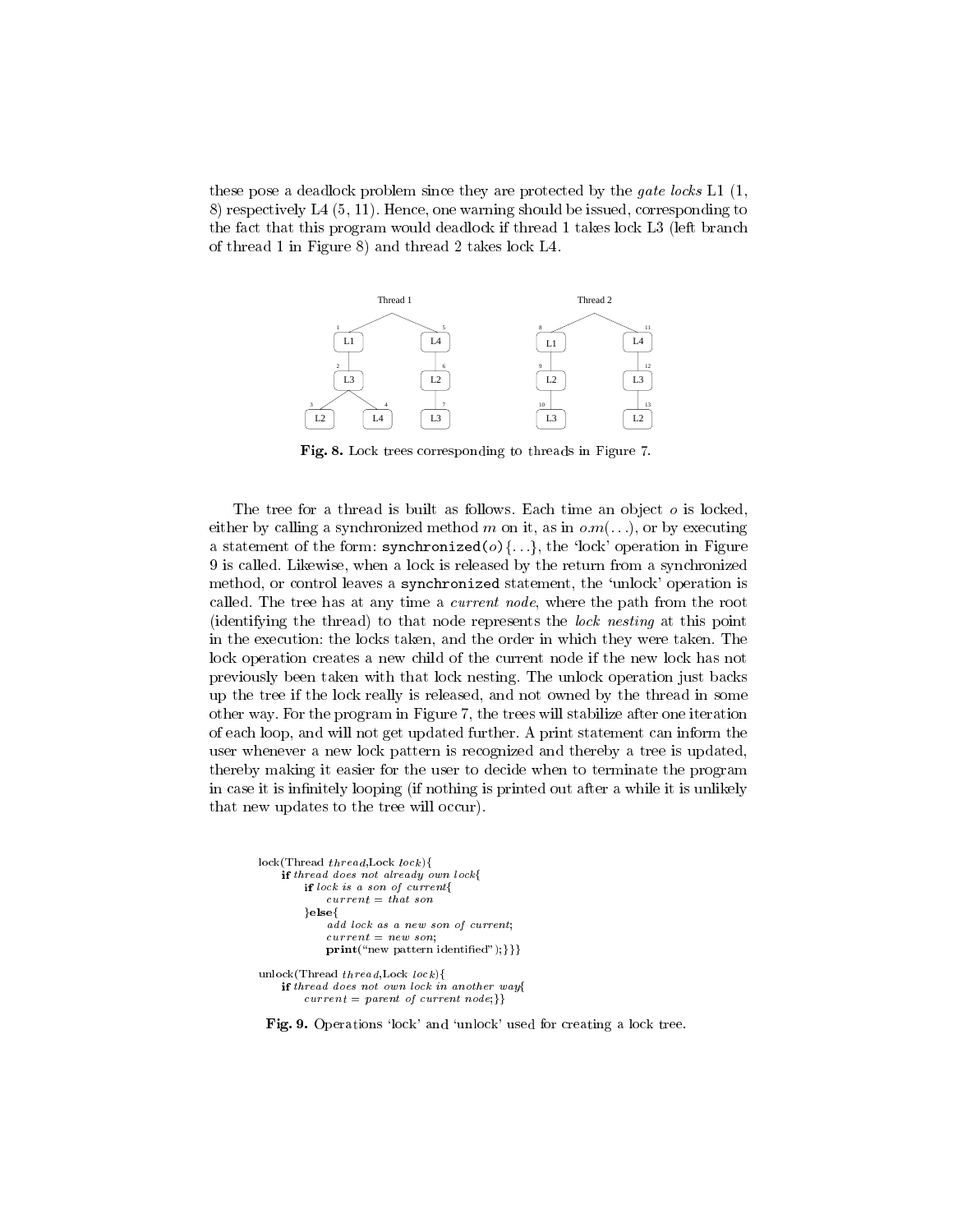these pose a deadlock problem since they are protected by the *qate locks* L1  $(1, 1)$ 8) respectively L4 (5, 11). Hence, one warning should be issued, corresponding to the fact that this program would deadlock if thread 1 takes lock L3 (left branch of thread 1 in Figure 8) and thread 2 takes lock L4.



Fig. 8. Lock trees corresponding to threads in Figure 7.

The tree for a thread is built as follows. Each time an object  $o$  is locked, either by calling a synchronized method m on it, as in  $o.m(...)$ , or by executing a statement of the form: synchronized(o){...}, the 'lock' operation in Figure 9 is called. Likewise, when a lock is released by the return from a synchronized method, or control leaves a synchronized statement, the 'unlock' operation is called. The tree has at any time a *current node*, where the path from the root (identifying the thread) to that node represents the lock nesting at this point in the execution: the locks taken, and the order in which they were taken. The lock operation creates a new child of the current node if the new lock has not previously been taken with that lock nesting. The unlock operation just backs up the tree if the lock really is released, and not owned by the thread in some other way. For the program in Figure 7, the trees will stabilize after one iteration of each loop, and will not get updated further. A print statement can inform the user whenever a new lock pattern is recognized and thereby a tree is updated, thereby making it easier for the user to decide when to terminate the program in case it is infinitely looping (if nothing is printed out after a while it is unlikely that new updates to the tree will occur).

```
\sum_{i=1}^{n}if thread does not already own lock{<br>if lock is a son of current{
         i.e., if a is one of earlier function<br>current = that son
         \left\{ \right\}else\left\{add lock as a new son of current:
             current = new son;
            \textbf{print}("new pattern identified");\}undoch (Thread thread, Thread, Thread, India
    current = parent \ of \ current \ node;\}
```
Fig. 9. Operations 'lock' and 'unlock' used for creating a lock tree.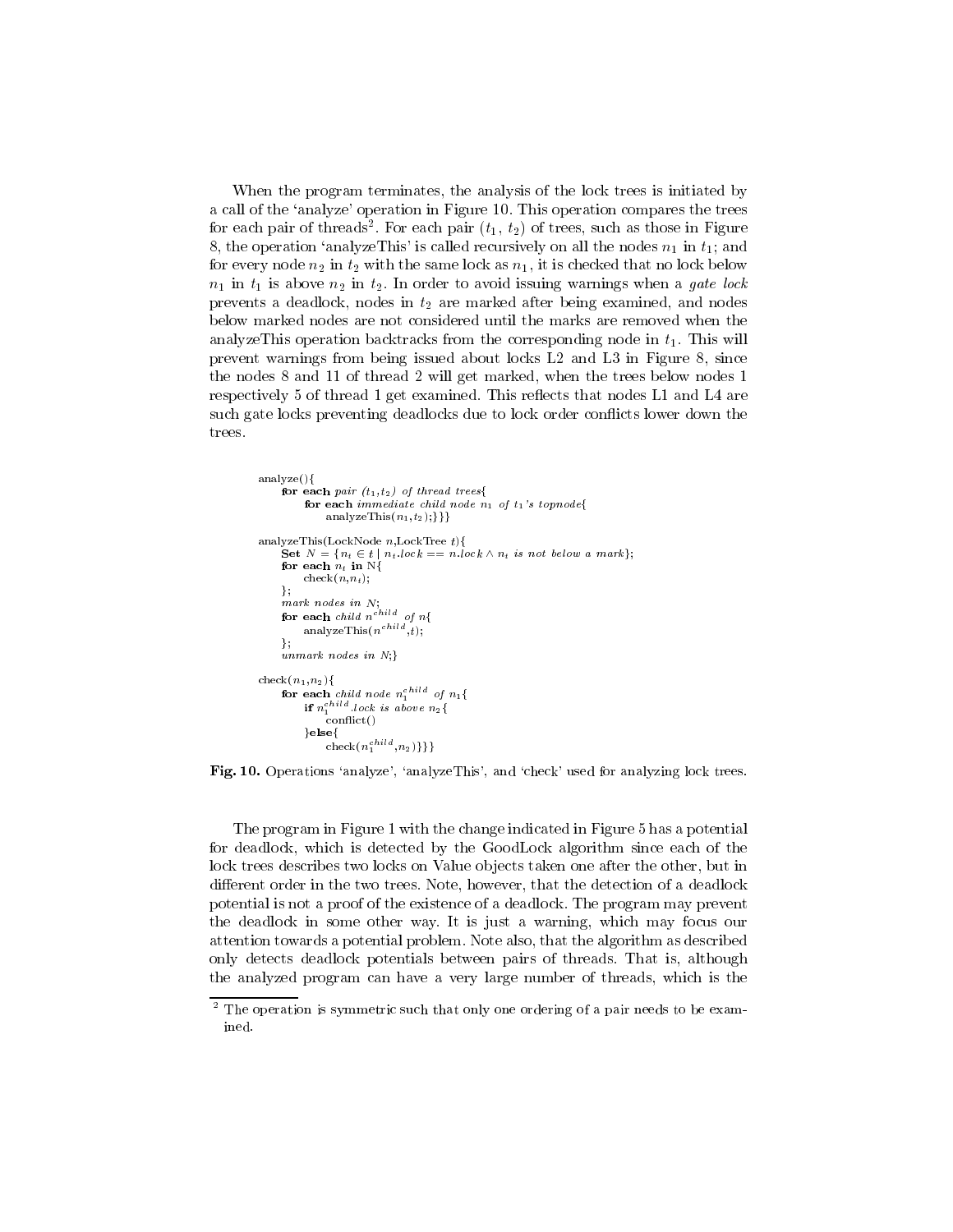When the program terminates, the analysis of the lock trees is initiated by a call of the `analyze' operation in Figure 10. This operation compares the trees for each pair of threads". For each pair  $(t_1, \, t_2)$  of trees, such as those in Figure 8, the operation 'analyzeThis' is called recursively on all the nodes  $n_1$  in  $t_1$ ; and for every node n2 in t2 with the same lock as n1, it is checked that no lock below  $n_1$  in t $1$  is above n $_2$  in  $_2$ . In order to avoid issuing warnings when a gate took prevents a deadlock, nodes in the set  $\mathcal{L}$  are marked after being examined at many matrix  $\mathcal{L}$ below marked nodes are not considered until the marks are removed when the analyzeThis operation backtracks from the corresponding node in  $t_1$ . This will prevent warnings from being issued about locks  $L2$  and  $L3$  in Figure 8, since the nodes 8 and 11 of thread 2 will get marked, when the trees below nodes 1 respectively 5 of thread 1 get examined. This reflects that nodes L1 and L4 are such gate locks preventing deadlocks due to lock order conflicts lower down the trees.

```
analyze(){<br>for each pair (t_1, t_2) of thread trees{
      for each immediate child node n_1 of t_1's topnode{<br>analyzeThis(n_1,t_2);}}<br>yzeThis(LockNode n,LockTree t){
                  analyzeThis(n_1,t_2);\}}
\alphanalyze \alphanalyzettische n,Locktree t\alphaf
      Set N = \{n_t \in t \mid n_t~.lock == n~.lock~ \wedge~ n_t~is~not~below~a~mark\};<br>for each n_t in N\{\text{check}(n, n_t);<br>};<br>mark nodes in N;
            \mathrm{check}(n,n_t);g; mark nodes in N; for each child n<sup>child</sup>, \eta is analyze This (n^{child}, t);<br>};<br>unmark nodes in N;}
            analyze \text{In}s(n^{1}, t);
      _{unmark} nodes in N; }
\ldotsfor each child node n_1^{even} of n_1 \nmid<br>
if n_1^{child} lock is above n_2 \nmid<br>
conflict()<br>
}else{
                                        1 of 1 is 1if n_1 . lock is above n_2 {
                 \frac{1}{1}conflict()
            \left\{\text{check}(n_1^{child},n_2)\right\}\right\}
```
Fig. 10. Operations 'analyze', 'analyzeThis', and 'check' used for analyzing lock trees.

The program in Figure 1 with the change indicated in Figure 5 has a potential for deadlock, which is detected by the GoodLock algorithm since each of the lock trees describes two locks on Value objects taken one after the other, but in different order in the two trees. Note, however, that the detection of a deadlock potential is not a proof of the existence of a deadlock. The program may prevent the deadlock in some other way. It is just a warning, which may focus our attention towards a potential problem. Note also, that the algorithm as described only detects deadlock potentials between pairs of threads. That is, although the analyzed program can have a very large number of threads, which is the

<sup>2</sup> The operation is symmetric such that only one ordering of a pair needs to be examined.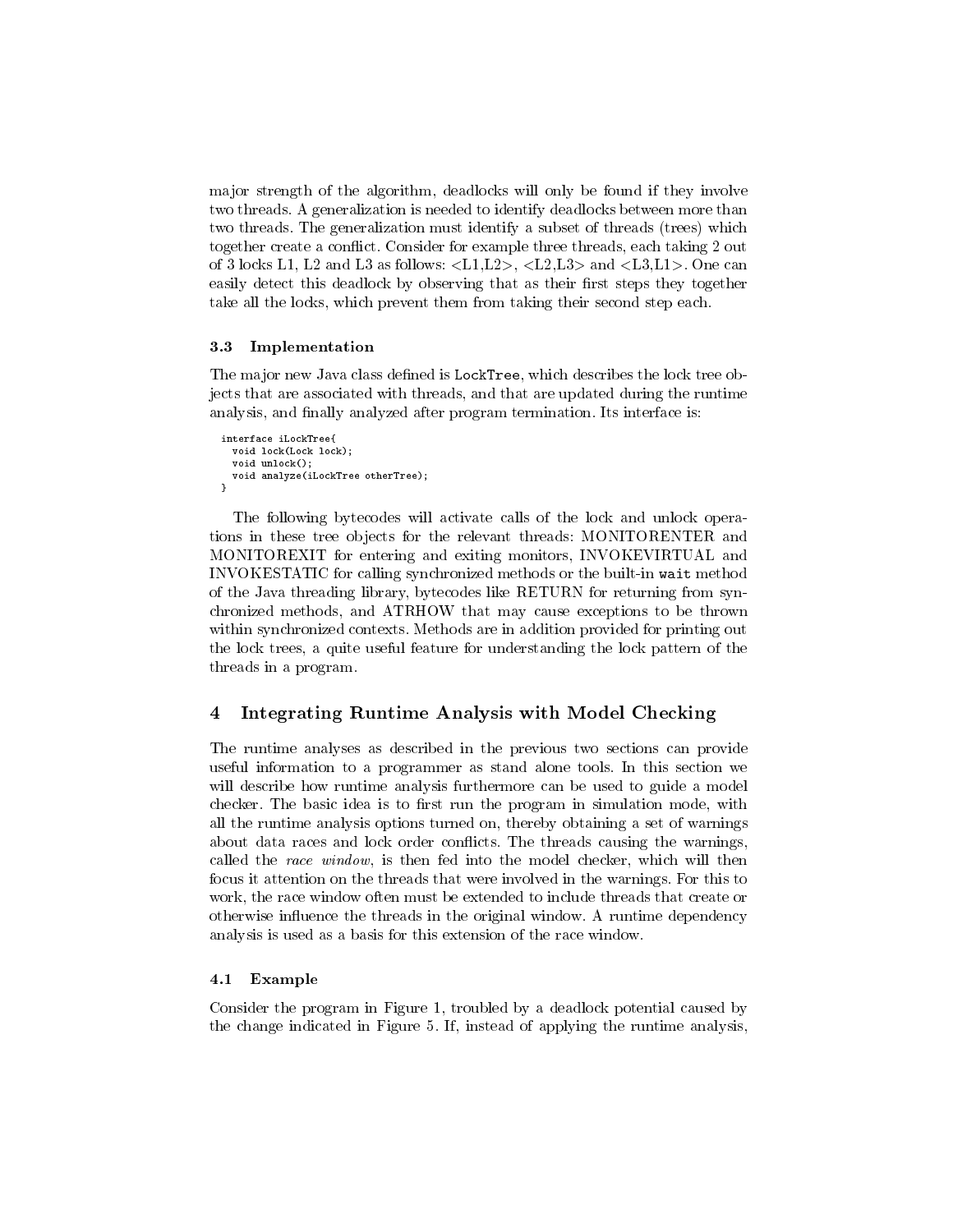ma jor strength of the algorithm, deadlocks will only be found if they involve two threads. A generalization is needed to identify deadlocks between more than two threads. The generalization must identify a subset of threads (trees) which together create a conflict. Consider for example three threads, each taking 2 out of 3 locks L1, L2 and L3 as follows:  $\langle L1, L2 \rangle$ ,  $\langle L2, L3 \rangle$  and  $\langle L3, L1 \rangle$ . One can easily detect this deadlock by observing that as their first steps they together take all the locks, which prevent them from taking their second step each.

### 3.3 Implementation

The major new Java class defined is LockTree, which describes the lock tree objects that are associated with threads, and that are updated during the runtime analysis, and finally analyzed after program termination. Its interface is:

```
interface iLockTree{
 void lock(Lock lock);
 void unlock();
 void analyze(iLockTree otherTree);
}
```
The following bytecodes will activate calls of the lock and unlock operations in these tree objects for the relevant threads: MONITORENTER and MONITOREXIT for entering and exiting monitors, INVOKEVIRTUAL and INVOKESTATIC for calling synchronized methods or the built-in wait method of the Java threading library, bytecodes like RETURN for returning from synchronized methods, and ATRHOW that may cause exceptions to be thrown within synchronized contexts. Methods are in addition provided for printing out the lock trees, a quite useful feature for understanding the lock pattern of the threads in a program.

#### Integrating Runtime Analysis with Model Checking  $\overline{4}$

The runtime analyses as described in the previous two sections can provide useful information to a programmer as stand alone tools. In this section we will describe how runtime analysis furthermore can be used to guide a model checker. The basic idea is to first run the program in simulation mode, with all the runtime analysis options turned on, thereby obtaining a set of warnings about data races and lock order conflicts. The threads causing the warnings, called the race window, is then fed into the model checker, which will then focus it attention on the threads that were involved in the warnings. For this to work, the race window often must be extended to include threads that create or otherwise in
uence the threads in the original window. A runtime dependency analysis is used as a basis for this extension of the race window.

#### 4.1 Example

Consider the program in Figure 1, troubled by a deadlock potential caused by the change indicated in Figure 5. If, instead of applying the runtime analysis,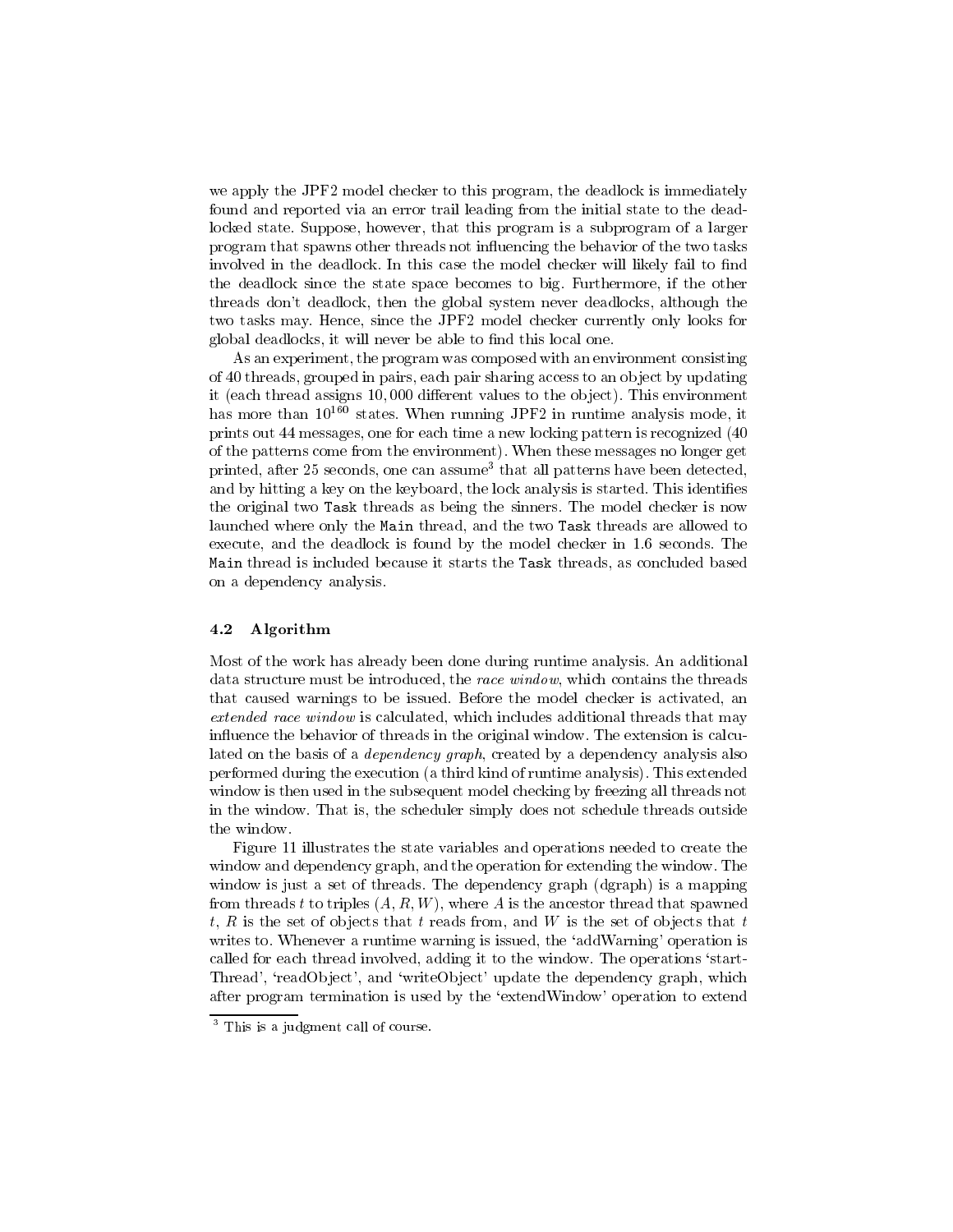we apply the JPF2 model checker to this program, the deadlock is immediately found and reported via an error trail leading from the initial state to the deadlocked state. Suppose, however, that this program is a subprogram of a larger program that spawns other threads not in
uencing the behavior of the two tasks involved in the deadlock. In this case the model checker will likely fail to find the deadlock since the state space becomes to big. Furthermore, if the other threads don't deadlock, then the global system never deadlocks, although the two tasks may. Hence, since the JPF2 model checker currently only looks for global deadlocks, it will never be able to find this local one.

As an experiment, the program was composed with an environment consisting of 40 threads, grouped in pairs, each pair sharing access to an ob ject by updating it (each thread assigns 10,000 different values to the object). This environment has more than  $10^{160}$  states. When running JPF2 in runtime analysis mode, it prints out 44 messages, one for each time a new locking pattern is recognized (40 of the patterns come from the environment). When these messages no longer get printed, after 25 seconds, one can assume<sup>s</sup> that all patterns have been detected, and by hitting a key on the keyboard, the lock analysis is started. This identifies the original two Task threads as being the sinners. The model checker is now launched where only the Main thread, and the two Task threads are allowed to execute, and the deadlock is found by the model checker in 1:6 seconds. The Main thread is included because it starts the Task threads, as concluded based on a dependency analysis.

#### 4.2 Algorithm

Most of the work has already been done during runtime analysis. An additional data structure must be introduced, the race window, which contains the threads that caused warnings to be issued. Before the model checker is activated, an extended race window is calculated, which includes additional threads that may in
uence the behavior of threads in the original window. The extension is calculated on the basis of a *dependency graph*, created by a dependency analysis also performed during the execution (a third kind of runtime analysis). This extended window is then used in the subsequent model checking by freezing all threads not in the window. That is, the scheduler simply does not schedule threads outside the window.

Figure 11 illustrates the state variables and operations needed to create the window and dependency graph, and the operation for extending the window. The window is just a set of threads. The dependency graph (dgraph) is a mapping from threads t to triples  $(A, R, W)$ , where A is the ancestor thread that spawned t, R is the set of objects that t reads from, and W is the set of objects that t writes to. Whenever a runtime warning is issued, the 'addWarning' operation is called for each thread involved, adding it to the window. The operations 'start-Thread', 'readObject', and 'writeObject' update the dependency graph, which after program termination is used by the `extendWindow' operation to extend

<sup>3</sup> This is a judgment call of course.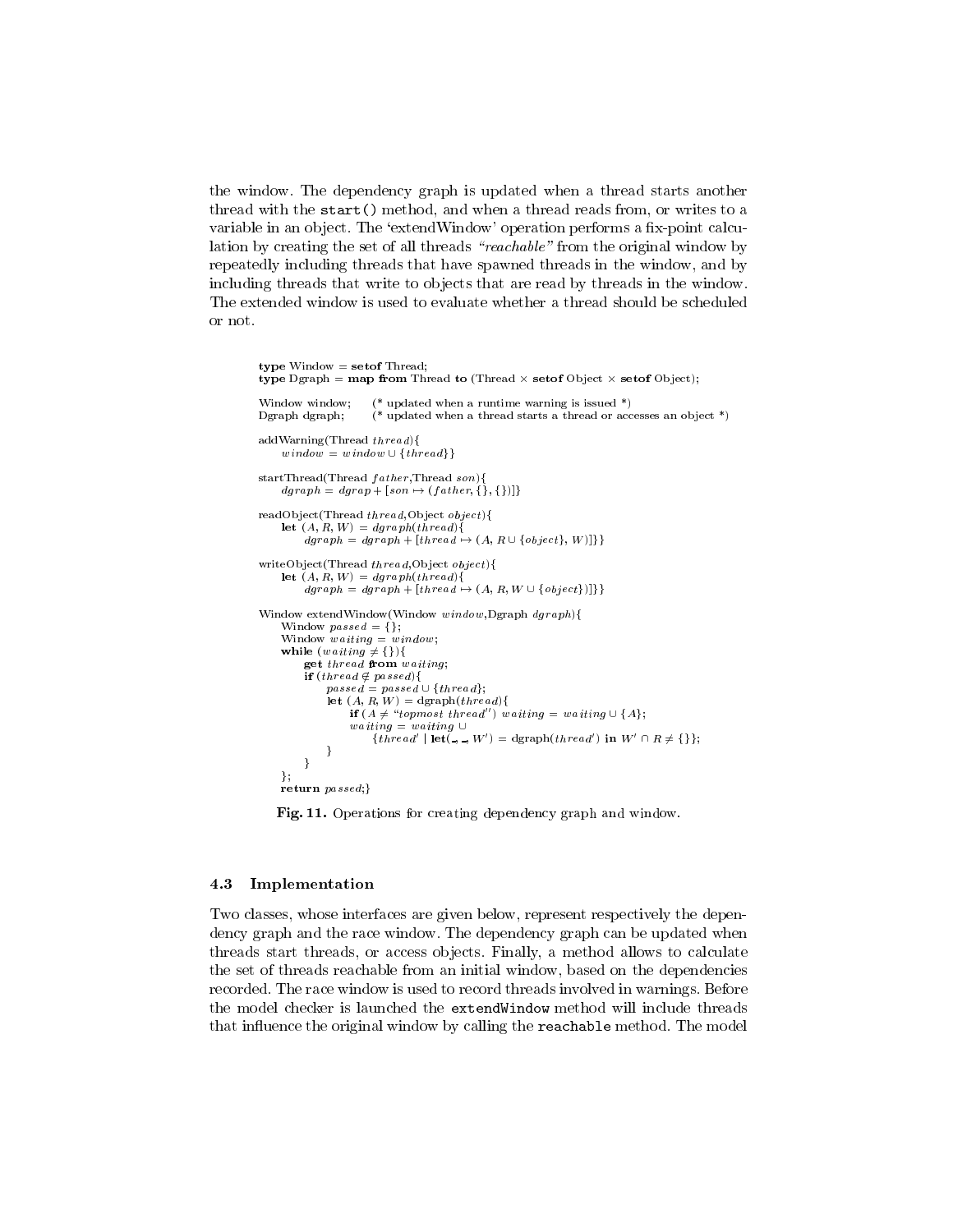the window. The dependency graph is updated when a thread starts another thread with the start() method, and when a thread reads from, or writes to a variable in an object. The 'extendWindow' operation performs a fix-point calculation by creating the set of all threads "reachable" from the original window by repeatedly including threads that have spawned threads in the window, and by including threads that write to objects that are read by threads in the window. The extended window is used to evaluate whether a thread should be scheduled or not.

```
type Window = set of Thread;
 type Dgraph = map from Thread to (Thread × setof Object × setof Object);<br>Window window;     (* updated when a runtime warning is issued *)<br>Dgraph dgraph;     (* updated when a thread starts a thread or accesses an ob
                                                                                                   {\bf set of} {\sf Object} \times {\bf set of} {\sf Object});Window window; (* updated when a runtime warning is issued *)
Dgraph dgraph;addWarning(Thread thread)
        window = window \cup {thread}\frac{w_1w_2w_3}{w_1w_2w_3} = \frac{w_1w_2w_3}{w_1w_2w_3} = \frac{w_1w_2w_3}{w_1w_2w_3}dgraph = dgraph + |son \mapsto (father, \{\}, \{\})|readObject(Thread thread,Object object){
       let (A, R, W) = dgraph(thread)dgraph = dgraph + [thread \rightarrow (A, R \cup \{object\}, W)]\}iect (Thread thread Object chiect) f
 writeObject(Thread thread, \mathrm{Object} object){
       let (A, R, W) = dgraph(thread)dgraph = dgraph + [thread \rightarrow (A, R, W \cup \{object\})]\}\frac{1}{2} (\frac{1}{2}) \frac{1}{2} (\frac{1}{2}) \frac{1}{2} (\frac{1}{2}) \frac{1}{2} (\frac{1}{2}) (\frac{1}{2}) (\frac{1}{2}) (\frac{1}{2}) (\frac{1}{2}) (\frac{1}{2}) (\frac{1}{2}) (\frac{1}{2}) (\frac{1}{2}) (\frac{1}{2}) (\frac{1}{2}) (\frac{1}{2}) (
         window passed \mathbf{f}\cdots . we we window with \cdotswhile (waiting f_{\text{eff}}) for f_{\text{eff}}\bullet from waiting; \bullet was also waiting;
                if (th\,read\notin passed) {<br> passed = passed \cup \{thread\};passed (A, R, W) = dgraph(thread) {<br>
if (A \neq "topmost thread") waiting = waiting \cup {A};
                                 \begin{array}{l} \texttt{if (}A \neq \texttt{"topmost thread"} \text{ } ) \text{ } waiting = waiting \cup \ \texttt{\{} \} ; \ \textit{waiting = waiting} \cup \ \texttt{\{} \} \textit{if (} \texttt{head}^{\prime} \text{ } | \texttt{let}(\_,\_,\_,W^{\prime}) = \texttt{\{} \} \textit{graph} \textit{if (} \texttt{head}^{\prime} \text{ } ) \text{ } \textbf{in} \text{ } W^{\prime} \cap R \neq \{ \} \} ; \end{array}ga a shekarar 1980, a shekarar 1980, a shekarar 1980, a shekarar 1980, a shekarar 1980, a shekarar 1980, a shekarar 1980, a shekarar 1980, a shekarar 1980, a shekarar 1980, a shekarar 1980, a shekarar 1980, a shekarar 1980
                \}return \mathit{passed}; \}
```
Fig. 11. Operations for creating dependency graph and window.

#### $4.3$ **Implementation**

Two classes, whose interfaces are given below, represent respectively the dependency graph and the race window. The dependency graph can be updated when threads start threads, or access ob jects. Finally, a method allows to calculate the set of threads reachable from an initial window, based on the dependencies recorded. The race window is used to record threads involved in warnings. Before the model checker is launched the extendWindow method will include threads that influence the original window by calling the reachable method. The model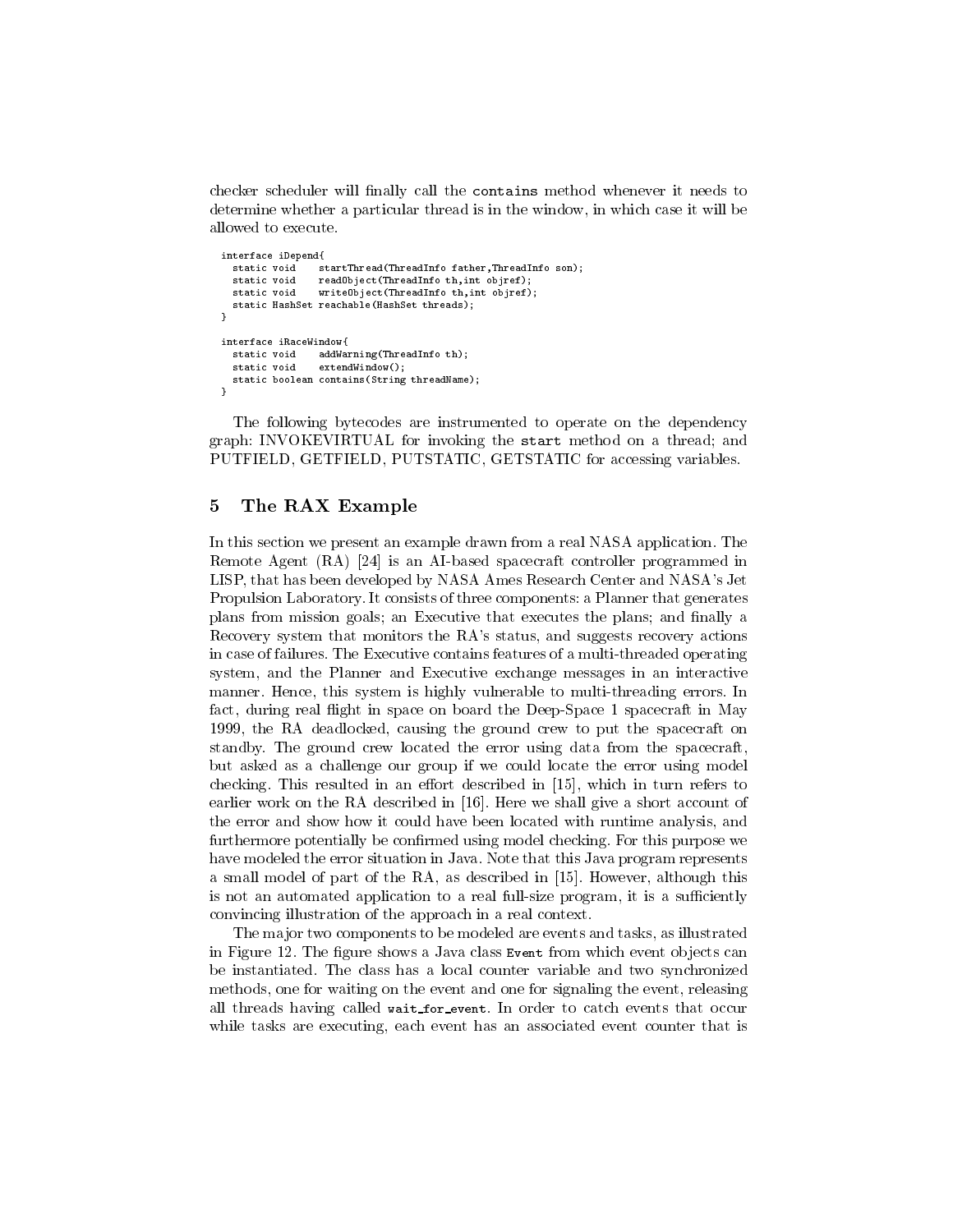checker scheduler will nally call the contains method whenever it needs to determine whether a particular thread is in the window, in which case it will be allowed to execute.

```
interface iDepend{
  static void startThread(ThreadInfo father,ThreadInfo son);
  static void readObject(ThreadInfo th,int objref);
  static void vriteObject(ThreadInfo th, int objref);<br>static HashSet reachable(HashSet threads);
  static HashSet reachable(HashSet threads);
}
interface iRaceWindow{
interface iRaceWindow{
  static void and the continues thread in \mathcal{L}_{\mathcal{A}}static void extendWindow();
  static boolean contains(String threadName);
-7
}
```
The following bytecodes are instrumented to operate on the dependency graph: INVOKEVIRTUAL for invoking the start method on a thread; and PUTFIELD, GETFIELD, PUTSTATIC, GETSTATIC for accessing variables.

# 5 The RAX Example

In this section we present an example drawn from a real NASA application. The Remote Agent (RA) [24] is an AI-based spacecraft controller programmed in LISP, that has been developed by NASA Ames Research Center and NASA's Jet Propulsion Laboratory. It consists of three components: a Planner that generates plans from mission goals; an Executive that executes the plans; and finally a Recovery system that monitors the RA's status, and suggests recovery actions in case of failures. The Executive contains features of a multi-threaded operating system, and the Planner and Executive exchange messages in an interactive manner. Hence, this system is highly vulnerable to multi-threading errors. In fact, during real flight in space on board the Deep-Space 1 spacecraft in May 1999, the RA deadlocked, causing the ground crew to put the spacecraft on standby. The ground crew located the error using data from the spacecraft, but asked as a challenge our group if we could locate the error using model checking. This resulted in an effort described in  $[15]$ , which in turn refers to earlier work on the RA described in [16]. Here we shall give a short account of the error and show how it could have been located with runtime analysis, and furthermore potentially be confirmed using model checking. For this purpose we have modeled the error situation in Java. Note that this Java program represents a small model of part of the RA, as described in [15]. However, although this is not an automated application to a real full-size program, it is a sufficiently convincing illustration of the approach in a real context.

The major two components to be modeled are events and tasks, as illustrated in Figure 12. The figure shows a Java class Event from which event objects can be instantiated. The class has a local counter variable and two synchronized methods, one for waiting on the event and one for signaling the event, releasing all threads having called wait for event. In order to catch events that occur while tasks are executing, each event has an associated event counter that is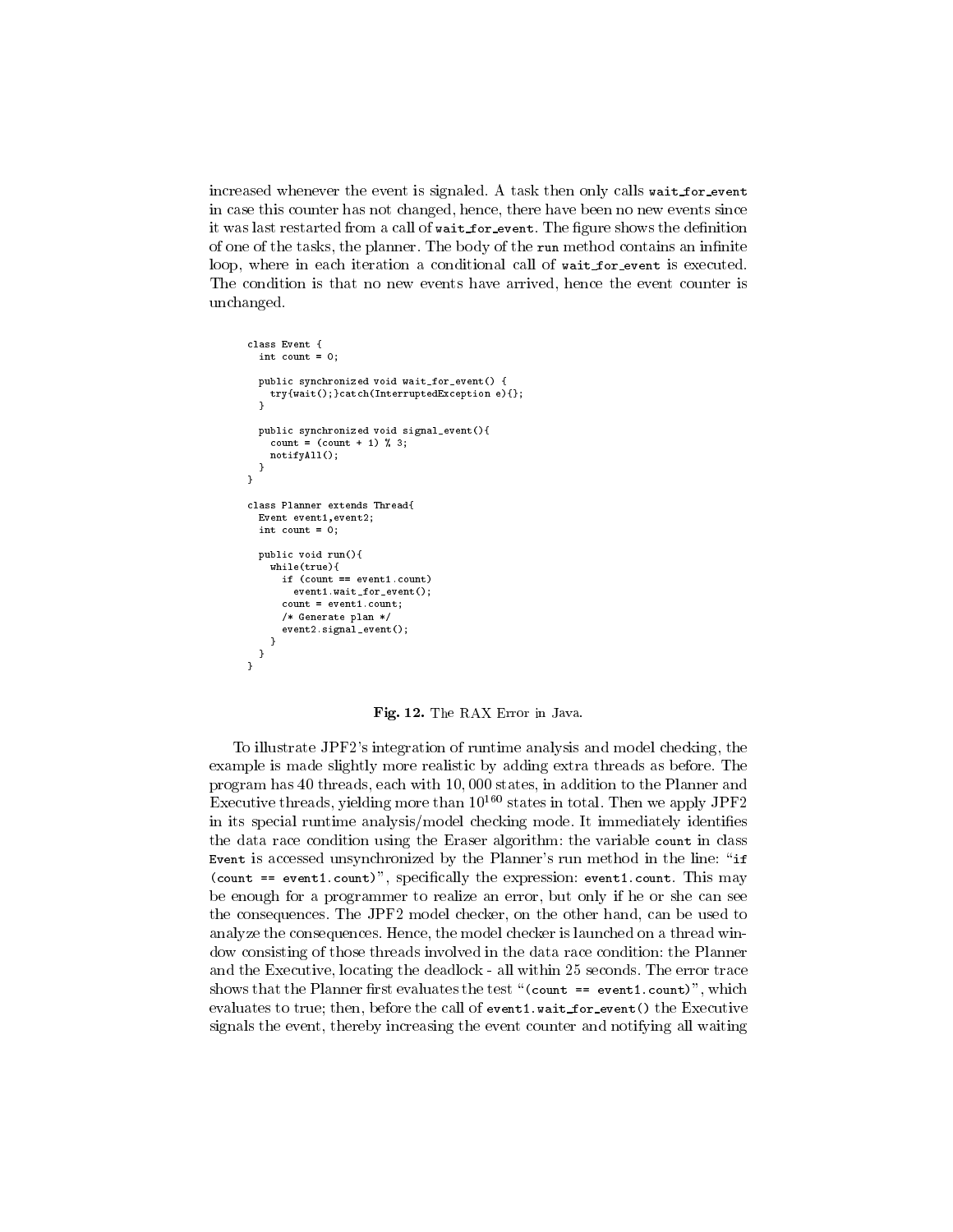increased whenever the event is signaled. A task then only calls wait for event in case this counter has not changed, hence, there have been no new events since it was last restarted from a call of wait for event. The figure shows the definition of one of the tasks, the planner. The body of the run method contains an infinite loop, where in each iteration a conditional call of wait for event is executed. The condition is that no new events have arrived, hence the event counter is unchanged.

```
class Event {
 int count = 0;
 public synchronized void wait_for_event() {
   try{wait();}catch(InterruptedException e){};
  }
 public synchronized void signal_event(){
    count = (count + 1) \% 3;notifyAll();
 \overline{\phantom{a}}}
}
class Planner extends Thread{
 Event event1,event2;
 int count = 0:
  intervals of \mathcal{O} intervals of \mathcal{O}public void run(){
   while(true){
      if (count == event1.count)
       event1.wait_for_event();
      count = event1.count;
     /* Generate plan */
     event2.signal_event();
    }
  }
}
```
Fig. 12. The RAX Error in Java.

To illustrate JPF2's integration of runtime analysis and model checking, the example is made slightly more realistic by adding extra threads as before. The program has 40 threads, each with 10; 000 states, in addition to the Planner and Executive threads, yielding more than 10160 states in total. Then we apply JPF2 in its special runtime analysis/model checking mode. It immediately identifies the data race condition using the Eraser algorithm: the variable count in class Event is accessed unsynchronized by the Planner's run method in the line: " $if$  $\mathcal{L}$  are event in the expectation of the expression of the expectation of the expression of  $\mathcal{L}$ be enough for a programmer to realize an error, but only if he or she can see the consequences. The JPF2 model checker, on the other hand, can be used to analyze the consequences. Hence, the model checker is launched on a thread window consisting of those threads involved in the data race condition: the Planner and the Executive, locating the deadlock - all within 25 seconds. The error trace shows that the Planner first evaluates the test "(count  $=$  event1.count)", which evaluates to true; then, before the call of event1.wait for event() the Executive signals the event, thereby increasing the event counter and notifying all waiting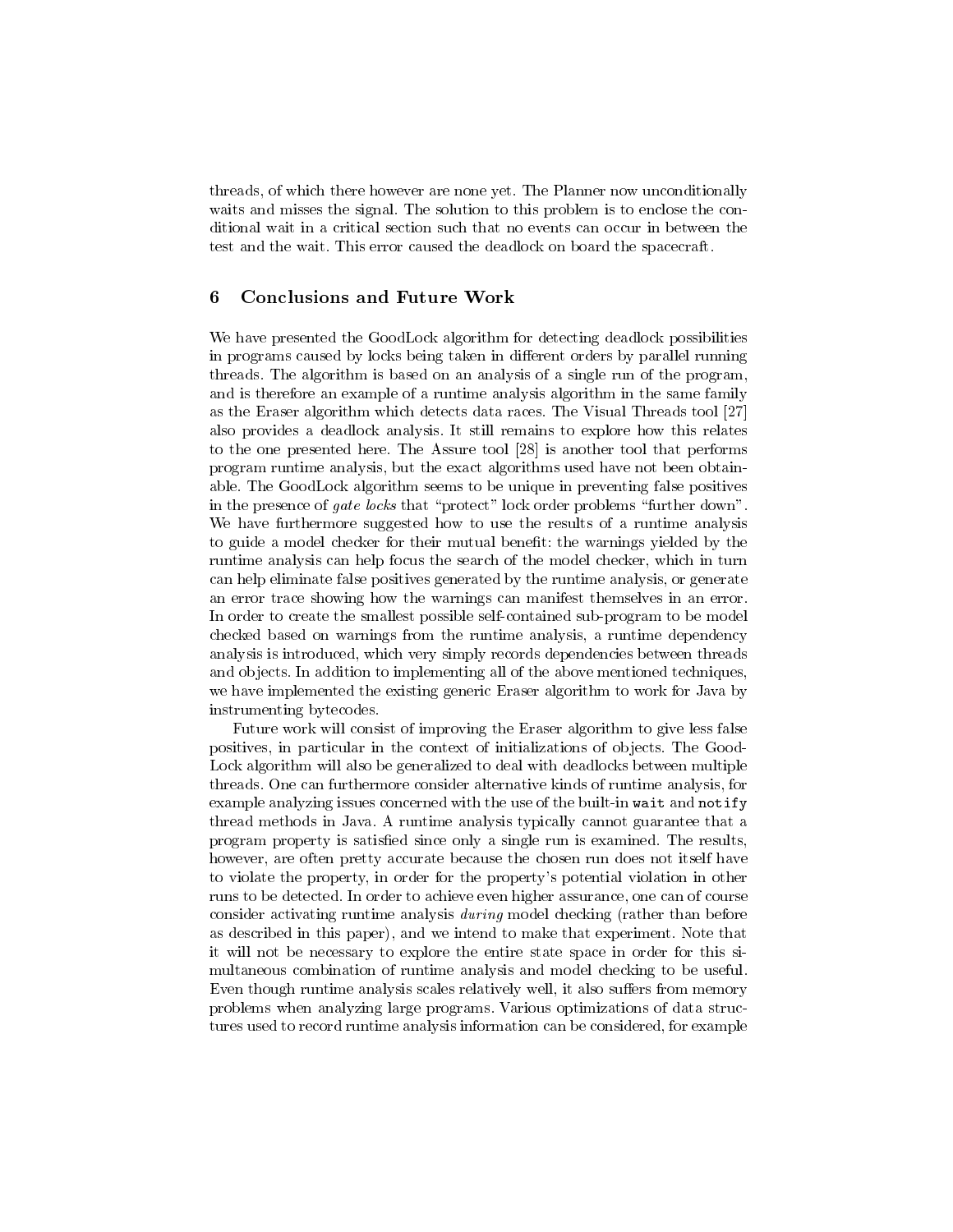threads, of which there however are none yet. The Planner now unconditionally waits and misses the signal. The solution to this problem is to enclose the conditional wait in a critical section such that no events can occur in between the test and the wait. This error caused the deadlock on board the spacecraft.

#### 6 6 Conclusions and Future Work

We have presented the GoodLock algorithm for detecting deadlock possibilities in programs caused by locks being taken in different orders by parallel running threads. The algorithm is based on an analysis of a single run of the program, and is therefore an example of a runtime analysis algorithm in the same family as the Eraser algorithm which detects data races. The Visual Threads tool [27] also provides a deadlock analysis. It still remains to explore how this relates to the one presented here. The Assure tool [28] is another tool that performs program runtime analysis, but the exact algorithms used have not been obtainable. The GoodLock algorithm seems to be unique in preventing false positives in the presence of *gate locks* that "protect" lock order problems "further down". We have furthermore suggested how to use the results of a runtime analysis to guide a model checker for their mutual benet: the warnings yielded by the runtime analysis can help focus the search of the model checker, which in turn can help eliminate false positives generated by the runtime analysis, or generate an error trace showing how the warnings can manifest themselves in an error. In order to create the smallest possible self-contained sub-program to be model checked based on warnings from the runtime analysis, a runtime dependency analysis is introduced, which very simply records dependencies between threads and objects. In addition to implementing all of the above mentioned techniques, we have implemented the existing generic Eraser algorithm to work for Java by instrumenting bytecodes.

Future work will consist of improving the Eraser algorithm to give less false positives, in particular in the context of initializations of ob jects. The Good-Lock algorithm will also be generalized to deal with deadlocks between multiple threads. One can furthermore consider alternative kinds of runtime analysis, for example analyzing issues concerned with the use of the built-in wait and notify thread methods in Java. A runtime analysis typically cannot guarantee that a program property is satised since only a single run is examined. The results, however, are often pretty accurate because the chosen run does not itself have to violate the property, in order for the property's potential violation in other runs to be detected. In order to achieve even higher assurance, one can of course consider activating runtime analysis during model checking (rather than before as described in this paper), and we intend to make that experiment. Note that it will not be necessary to explore the entire state space in order for this si multaneous combination of runtime analysis and model checking to be useful. Even though runtime analysis scales relatively well, it also suffers from memory problems when analyzing large programs. Various optimizations of data structures used to record runtime analysis information can be considered, for example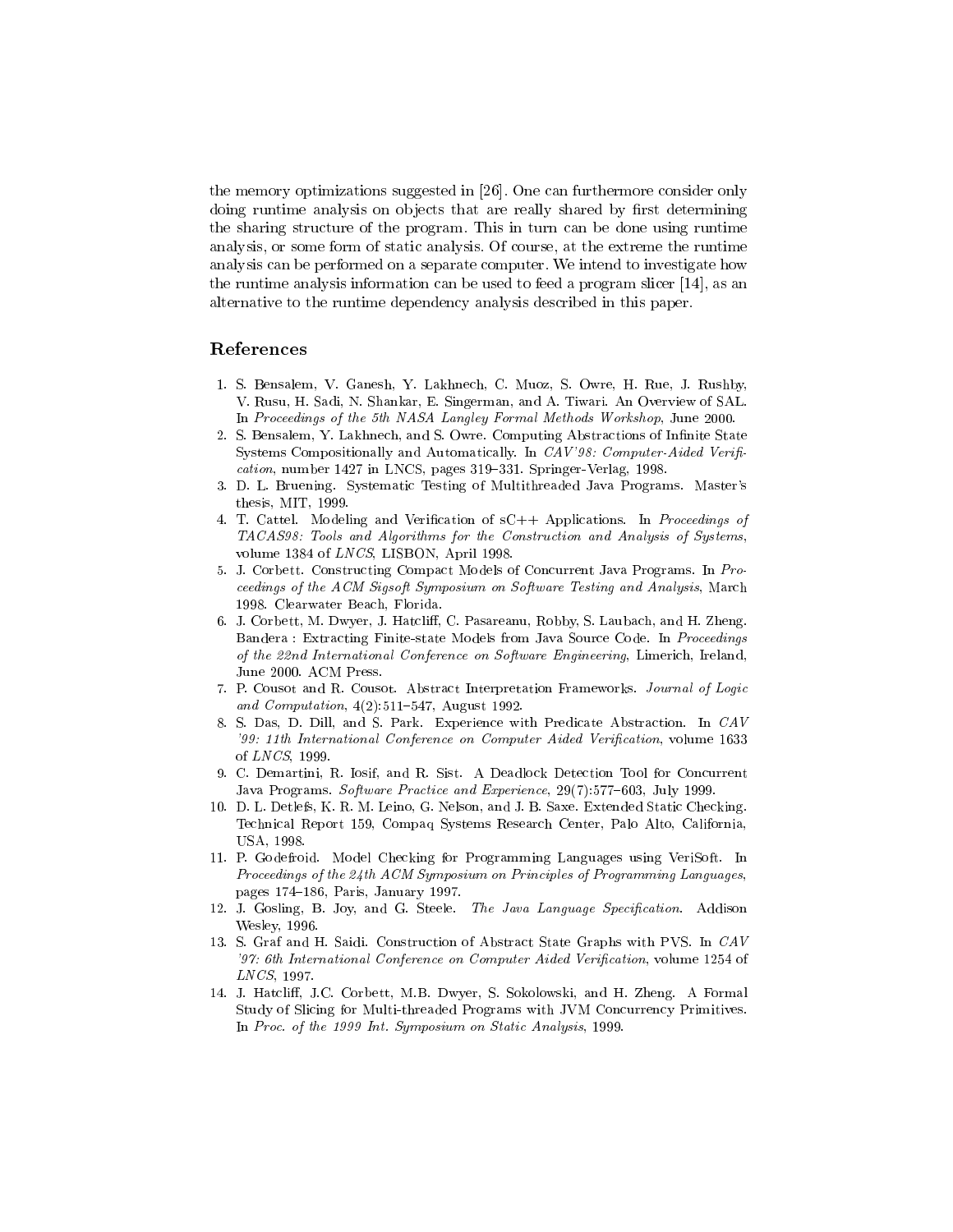the memory optimizations suggested in [26]. One can furthermore consider only doing runtime analysis on objects that are really shared by first determining the sharing structure of the program. This in turn can be done using runtime analysis, or some form of static analysis. Of course, at the extreme the runtime analysis can be performed on a separate computer. We intend to investigate how the runtime analysis information can be used to feed a program slicer [14], as an alternative to the runtime dependency analysis described in this paper.

# References

- 1. S. Bensalem, V. Ganesh, Y. Lakhnech, C. Muoz, S. Owre, H. Rue, J. Rushby, V. Rusu, H. Sadi, N. Shankar, E. Singerman, and A. Tiwari. An Overview of SAL. In Proceedings of the 5th NASA Langley Formal Methods Workshop, June 2000.
- 2. S. Bensalem, Y. Lakhnech, and S. Owre. Computing Abstractions of Infinite State Systems Compositionally and Automatically. In  $CAV'98$ : Computer-Aided Verifi $cation$ , number 1427 in LNCS, pages 319-331. Springer-Verlag, 1998.
- 3. D. L. Bruening. Systematic Testing of Multithreaded Java Programs. Master's thesis, MIT, 1999.
- 4. T. Cattel. Modeling and Verification of  $sC++$  Applications. In Proceedings of TACAS98: Tools and Algorithms for the Construction and Analysis of Systems, volume 1384 of LNCS, LISBON, April 1998.
- 5. J. Corbett. Constructing Compact Models of Concurrent Java Programs. In Pro ceedings of the ACM Sigsoft Symposium on Software Testing and Analysis, March 1998. Clearwater Beach, Florida.
- 6. J. Corbett, M. Dwyer, J. Hatcliff, C. Pasareanu, Robby, S. Laubach, and H. Zheng. Bandera : Extracting Finite-state Models from Java Source Code. In Proceedings of the 22nd International Conference on Software Engineering, Limerich, Ireland, June 2000. ACM Press.
- 7. P. Cousot and R. Cousot. Abstract Interpretation Frameworks. Journal of Logic and Computation,  $4(2):511-547$ , August 1992.
- 8. S. Das, D. Dill, and S. Park. Experience with Predicate Abstraction. In CAV '99: 11th International Conference on Computer Aided Verication, volume 1633 of *LNCS*, 1999. of LNCS, 1999. The LNCS, 1999. The LNCS state of LNCS state of LNCS state of LNCS state of LNCS state of LNCS
- 9. C. Demartini, R. Iosif, and R. Sist. A Deadlock Detection Tool for Concurrent Java Programs. Software Practice and Experience, 29(7):577-603, July 1999.
- 10. D. L. Detlefs, K. R. M. Leino, G. Nelson, and J. B. Saxe. Extended Static Checking. Technical Report 159, Compaq Systems Research Center, Palo Alto, California, USA, 1998.
- 11. P. Godefroid. Model Checking for Programming Languages using VeriSoft. In Proceedings of the 24th ACM Symposium on Principles of Programming Languages, pages 174-186, Paris, January 1997.
- 12. J. Gosling, B. Joy, and G. Steele. The Java Language Specification. Addison Wesley, 1996.
- 13. S. Graf and H. Saidi. Construction of Abstract State Graphs with PVS. In CAV '97: 6th International Conference on Computer Aided Verification, volume 1254 of LNCS, 1997.
- 14. J. Hatcliff, J.C. Corbett, M.B. Dwyer, S. Sokolowski, and H. Zheng. A Formal Study of Slicing for Multi-threaded Programs with JVM Concurrency Primitives. In Proc. of the 1999 Int. Symposium on Static Analysis, 1999.